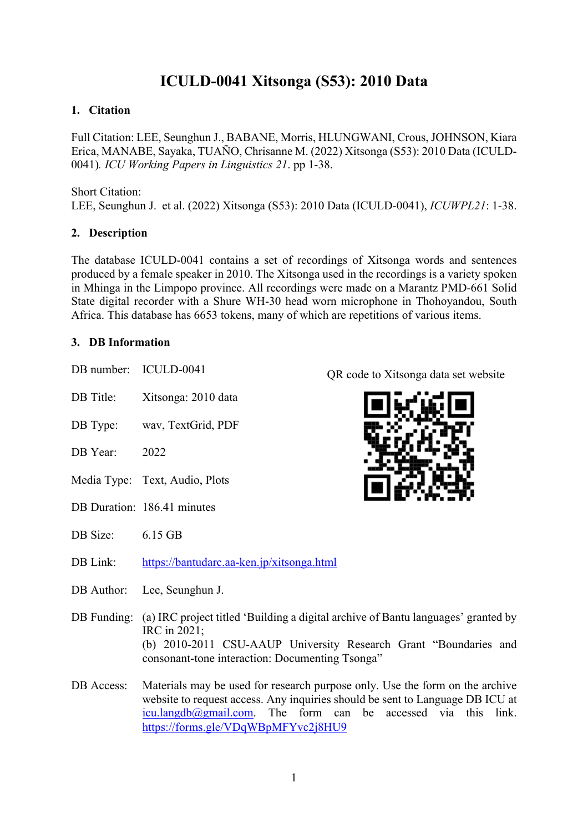# **ICULD-0041 Xitsonga (S53): 2010 Data**

## **1. Citation**

Full Citation: LEE, Seunghun J., BABANE, Morris, HLUNGWANI, Crous, JOHNSON, Kiara Erica, MANABE, Sayaka, TUAÑO, Chrisanne M. (2022) Xitsonga (S53): 2010 Data (ICULD-0041)*. ICU Working Papers in Linguistics 21*. pp 1-38.

#### Short Citation:

LEE, Seunghun J. et al. (2022) Xitsonga (S53): 2010 Data (ICULD-0041), *ICUWPL21*: 1-38.

## **2. Description**

The database ICULD-0041 contains a set of recordings of Xitsonga words and sentences produced by a female speaker in 2010. The Xitsonga used in the recordings is a variety spoken in Mhinga in the Limpopo province. All recordings were made on a Marantz PMD-661 Solid State digital recorder with a Shure WH-30 head worn microphone in Thohoyandou, South Africa. This database has 6653 tokens, many of which are repetitions of various items.

## **3. DB Information**

- DB number: ICULD-0041 DB Title: Xitsonga: 2010 data
- DB Type: wav, TextGrid, PDF
- DB Year: 2022
- Media Type: Text, Audio, Plots
- DB Duration: 186.41 minutes
- DB Size: 6.15 GB
- DB Link: https://bantudarc.aa-ken.jp/xitsonga.html
- DB Author: Lee, Seunghun J.
- DB Funding: (a) IRC project titled 'Building a digital archive of Bantu languages' granted by IRC in 2021; (b) 2010-2011 CSU-AAUP University Research Grant "Boundaries and consonant-tone interaction: Documenting Tsonga"
- DB Access: Materials may be used for research purpose only. Use the form on the archive website to request access. Any inquiries should be sent to Language DB ICU at  $icu.langdb@gmail.com$ . The form can be accessed via this link. https://forms.gle/VDqWBpMFYvc2j8HU9

QR code to Xitsonga data set website

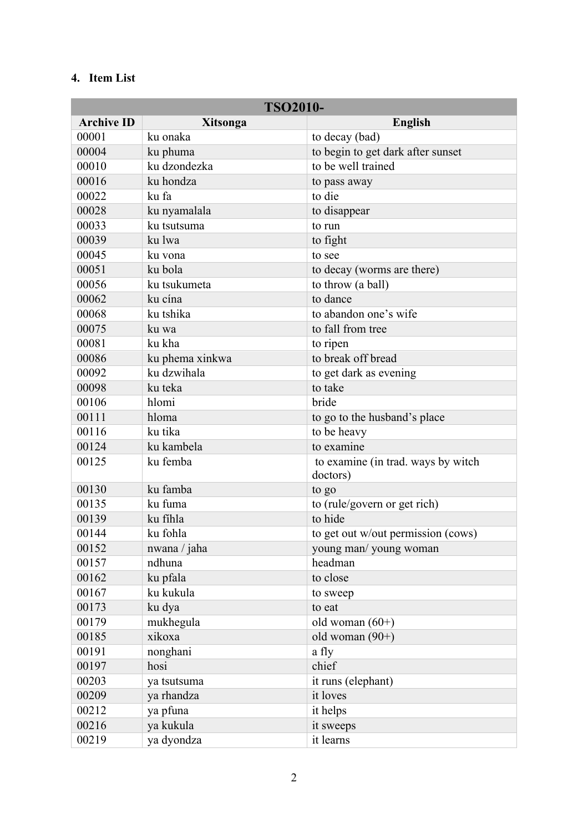# **4. Item List**

| <b>TSO2010-</b>   |                 |                                                |
|-------------------|-----------------|------------------------------------------------|
| <b>Archive ID</b> | Xitsonga        | <b>English</b>                                 |
| 00001             | ku onaka        | to decay (bad)                                 |
| 00004             | ku phuma        | to begin to get dark after sunset              |
| 00010             | ku dzondezka    | to be well trained                             |
| 00016             | ku hondza       | to pass away                                   |
| 00022             | ku fa           | to die                                         |
| 00028             | ku nyamalala    | to disappear                                   |
| 00033             | ku tsutsuma     | to run                                         |
| 00039             | ku lwa          | to fight                                       |
| 00045             | ku vona         | to see                                         |
| 00051             | ku bola         | to decay (worms are there)                     |
| 00056             | ku tsukumeta    | to throw (a ball)                              |
| 00062             | ku cína         | to dance                                       |
| 00068             | ku tshika       | to abandon one's wife                          |
| 00075             | ku wa           | to fall from tree                              |
| 00081             | ku kha          | to ripen                                       |
| 00086             | ku phema xinkwa | to break off bread                             |
| 00092             | ku dzwihala     | to get dark as evening                         |
| 00098             | ku teka         | to take                                        |
| 00106             | hlomi           | bride                                          |
| 00111             | hloma           | to go to the husband's place                   |
| 00116             | ku tika         | to be heavy                                    |
| 00124             | ku kambela      | to examine                                     |
| 00125             | ku femba        | to examine (in trad. ways by witch<br>doctors) |
| 00130             | ku famba        | to go                                          |
| 00135             | ku fuma         | to (rule/govern or get rich)                   |
| 00139             | ku fíhla        | to hide                                        |
| 00144             | ku fohla        | to get out w/out permission (cows)             |
| 00152             | nwana / jaha    | young man/young woman                          |
| 00157             | ndhuna          | headman                                        |
| 00162             | ku pfala        | to close                                       |
| 00167             | ku kukula       | to sweep                                       |
| 00173             | ku dya          | to eat                                         |
| 00179             | mukhegula       | old woman $(60+)$                              |
| 00185             | xikoxa          | old woman $(90+)$                              |
| 00191             | nonghani        | a fly                                          |
| 00197             | hosi            | chief                                          |
| 00203             | ya tsutsuma     | it runs (elephant)                             |
| 00209             | ya rhandza      | it loves                                       |
| 00212             | ya pfuna        | it helps                                       |
| 00216             | ya kukula       | it sweeps                                      |
| 00219             | ya dyondza      | it learns                                      |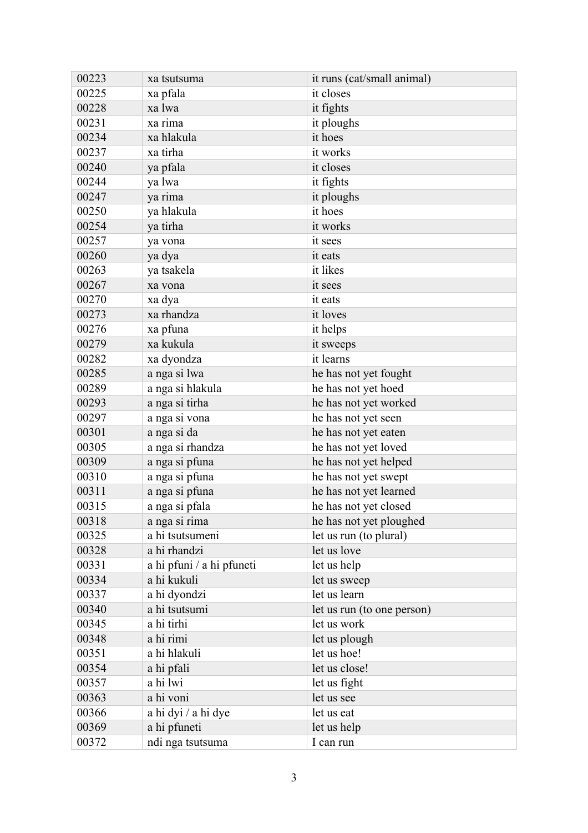| 00223 | xa tsutsuma               | it runs (cat/small animal) |
|-------|---------------------------|----------------------------|
| 00225 | xa pfala                  | it closes                  |
| 00228 | xa lwa                    | it fights                  |
| 00231 | xa rima                   | it ploughs                 |
| 00234 | xa hlakula                | it hoes                    |
| 00237 | xa tirha                  | it works                   |
| 00240 | ya pfala                  | it closes                  |
| 00244 | ya lwa                    | it fights                  |
| 00247 | ya rima                   | it ploughs                 |
| 00250 | ya hlakula                | it hoes                    |
| 00254 | ya tirha                  | it works                   |
| 00257 | ya vona                   | it sees                    |
| 00260 | ya dya                    | it eats                    |
| 00263 | ya tsakela                | it likes                   |
| 00267 | xa vona                   | it sees                    |
| 00270 | xa dya                    | it eats                    |
| 00273 | xa rhandza                | it loves                   |
| 00276 | xa pfuna                  | it helps                   |
| 00279 | xa kukula                 | it sweeps                  |
| 00282 | xa dyondza                | it learns                  |
| 00285 | a nga si lwa              | he has not yet fought      |
| 00289 | a nga si hlakula          | he has not yet hoed        |
| 00293 | a nga si tirha            | he has not yet worked      |
| 00297 | a nga si vona             | he has not yet seen        |
| 00301 | a nga si da               | he has not yet eaten       |
| 00305 | a nga si rhandza          | he has not yet loved       |
| 00309 | a nga si pfuna            | he has not yet helped      |
| 00310 | a nga si pfuna            | he has not yet swept       |
| 00311 | a nga si pfuna            | he has not yet learned     |
| 00315 | a nga si pfala            | he has not yet closed      |
| 00318 | a nga si rima             | he has not yet ploughed    |
| 00325 | a hi tsutsumeni           | let us run (to plural)     |
| 00328 | a hi rhandzi              | let us love                |
| 00331 | a hi pfuni / a hi pfuneti | let us help                |
| 00334 | a hi kukuli               | let us sweep               |
| 00337 | a hi dyondzi              | let us learn               |
| 00340 | a hi tsutsumi             | let us run (to one person) |
| 00345 | a hi tirhi                | let us work                |
| 00348 | a hi rimi                 | let us plough              |
| 00351 | a hi hlakuli              | let us hoe!                |
| 00354 | a hi pfali                | let us close!              |
| 00357 | a hi lwi                  | let us fight               |
| 00363 | a hi voni                 | let us see                 |
| 00366 | a hi dyi / a hi dye       | let us eat                 |
| 00369 | a hi pfuneti              | let us help                |
| 00372 | ndi nga tsutsuma          | I can run                  |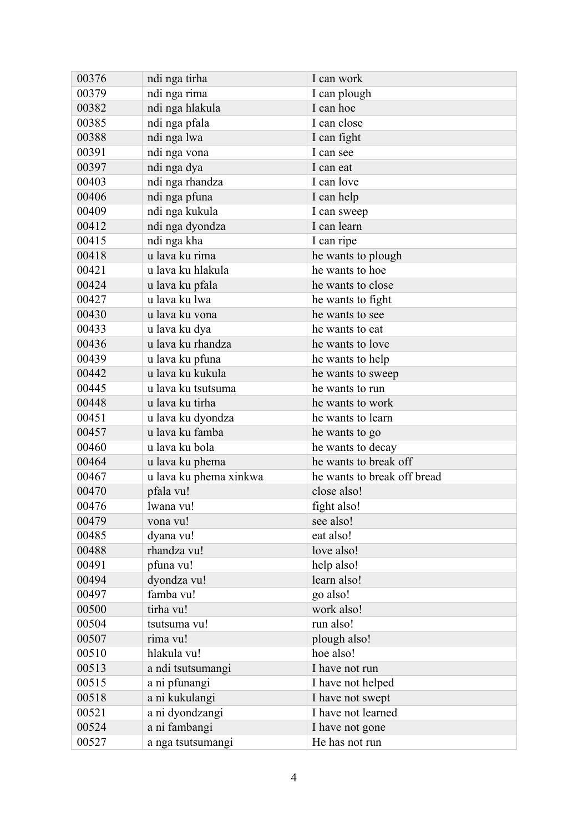| 00376 | ndi nga tirha          | I can work                  |
|-------|------------------------|-----------------------------|
| 00379 | ndi nga rima           | I can plough                |
| 00382 | ndi nga hlakula        | I can hoe                   |
| 00385 | ndi nga pfala          | I can close                 |
| 00388 | ndi nga lwa            | I can fight                 |
| 00391 | ndi nga vona           | I can see                   |
| 00397 | ndi nga dya            | I can eat                   |
| 00403 | ndi nga rhandza        | I can love                  |
| 00406 | ndi nga pfuna          | I can help                  |
| 00409 | ndi nga kukula         | I can sweep                 |
| 00412 | ndi nga dyondza        | I can learn                 |
| 00415 | ndi nga kha            | I can ripe                  |
| 00418 | u lava ku rima         | he wants to plough          |
| 00421 | u lava ku hlakula      | he wants to hoe             |
| 00424 | u lava ku pfala        | he wants to close           |
| 00427 | u lava ku lwa          | he wants to fight           |
| 00430 | u lava ku vona         | he wants to see             |
| 00433 | u lava ku dya          | he wants to eat             |
| 00436 | u lava ku rhandza      | he wants to love            |
| 00439 | u lava ku pfuna        | he wants to help            |
| 00442 | u lava ku kukula       | he wants to sweep           |
| 00445 | u lava ku tsutsuma     | he wants to run             |
| 00448 | u lava ku tirha        | he wants to work            |
| 00451 | u lava ku dyondza      | he wants to learn           |
| 00457 | u lava ku famba        | he wants to go              |
| 00460 | u lava ku bola         | he wants to decay           |
| 00464 | u lava ku phema        | he wants to break off       |
| 00467 | u lava ku phema xinkwa | he wants to break off bread |
| 00470 | pfala vu!              | close also!                 |
| 00476 | lwana vu!              | fight also!                 |
| 00479 | vona vu!               | see also!                   |
| 00485 | dyana vu!              | eat also!                   |
| 00488 | rhandza vu!            | love also!                  |
| 00491 | pfuna vu!              | help also!                  |
| 00494 | dyondza vu!            | learn also!                 |
| 00497 | famba vu!              | go also!                    |
| 00500 | tirha vu!              | work also!                  |
| 00504 | tsutsuma vu!           | run also!                   |
| 00507 | rima vu!               | plough also!                |
| 00510 | hlakula vu!            | hoe also!                   |
| 00513 | a ndi tsutsumangi      | I have not run              |
| 00515 | a ni pfunangi          | I have not helped           |
| 00518 | a ni kukulangi         | I have not swept            |
| 00521 | a ni dyondzangi        | I have not learned          |
| 00524 | a ni fambangi          | I have not gone             |
| 00527 | a nga tsutsumangi      | He has not run              |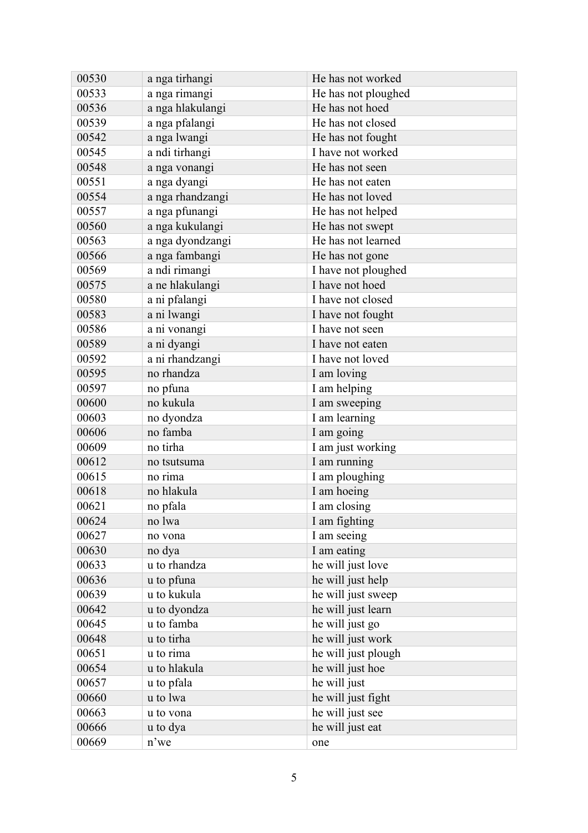| 00530 | a nga tirhangi   | He has not worked   |
|-------|------------------|---------------------|
| 00533 | a nga rimangi    | He has not ploughed |
| 00536 | a nga hlakulangi | He has not hoed     |
| 00539 | a nga pfalangi   | He has not closed   |
| 00542 | a nga lwangi     | He has not fought   |
| 00545 | a ndi tirhangi   | I have not worked   |
| 00548 | a nga vonangi    | He has not seen     |
| 00551 | a nga dyangi     | He has not eaten    |
| 00554 | a nga rhandzangi | He has not loved    |
| 00557 | a nga pfunangi   | He has not helped   |
| 00560 | a nga kukulangi  | He has not swept    |
| 00563 | a nga dyondzangi | He has not learned  |
| 00566 | a nga fambangi   | He has not gone     |
| 00569 | a ndi rimangi    | I have not ploughed |
| 00575 | a ne hlakulangi  | I have not hoed     |
| 00580 | a ni pfalangi    | I have not closed   |
| 00583 | a ni lwangi      | I have not fought   |
| 00586 | a ni vonangi     | I have not seen     |
| 00589 | a ni dyangi      | I have not eaten    |
| 00592 | a ni rhandzangi  | I have not loved    |
| 00595 | no rhandza       | I am loving         |
| 00597 | no pfuna         | I am helping        |
| 00600 | no kukula        | I am sweeping       |
| 00603 | no dyondza       | I am learning       |
| 00606 | no famba         | I am going          |
| 00609 | no tirha         | I am just working   |
| 00612 | no tsutsuma      | I am running        |
| 00615 | no rima          | I am ploughing      |
| 00618 | no hlakula       | I am hoeing         |
| 00621 | no pfala         | I am closing        |
| 00624 | no lwa           | I am fighting       |
| 00627 | no vona          | I am seeing         |
| 00630 | no dya           | I am eating         |
| 00633 | u to rhandza     | he will just love   |
| 00636 | u to pfuna       | he will just help   |
| 00639 | u to kukula      | he will just sweep  |
| 00642 | u to dyondza     | he will just learn  |
| 00645 | u to famba       | he will just go     |
| 00648 | u to tirha       | he will just work   |
| 00651 | u to rima        | he will just plough |
| 00654 | u to hlakula     | he will just hoe    |
| 00657 | u to pfala       | he will just        |
| 00660 | u to lwa         | he will just fight  |
| 00663 | u to vona        | he will just see    |
| 00666 | u to dya         | he will just eat    |
| 00669 | n'we             | one                 |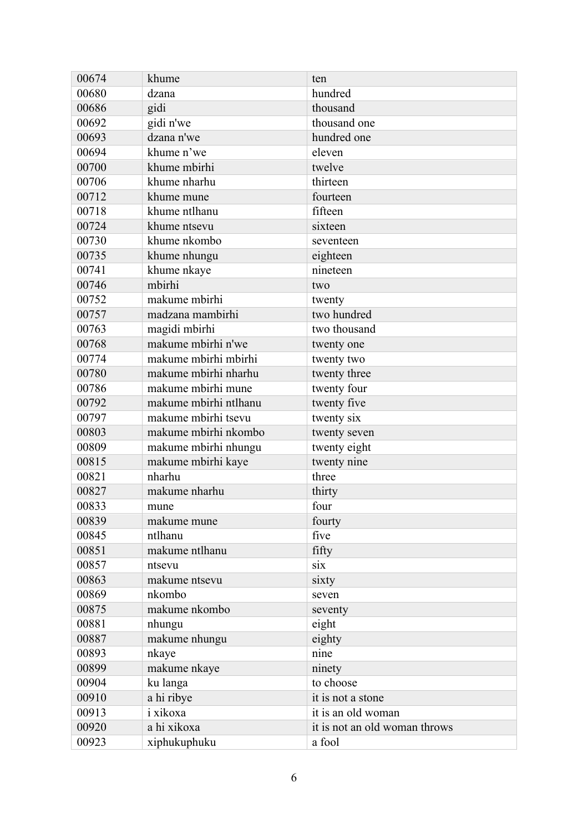| 00674 | khume                 | ten                           |
|-------|-----------------------|-------------------------------|
| 00680 | dzana                 | hundred                       |
| 00686 | gidi                  | thousand                      |
| 00692 | gidi n'we             | thousand one                  |
| 00693 | dzana n'we            | hundred one                   |
| 00694 | khume n'we            | eleven                        |
| 00700 | khume mbirhi          | twelve                        |
| 00706 | khume nharhu          | thirteen                      |
| 00712 | khume mune            | fourteen                      |
| 00718 | khume ntlhanu         | fifteen                       |
| 00724 | khume ntsevu          | sixteen                       |
| 00730 | khume nkombo          | seventeen                     |
| 00735 | khume nhungu          | eighteen                      |
| 00741 | khume nkaye           | nineteen                      |
| 00746 | mbirhi                | two                           |
| 00752 | makume mbirhi         | twenty                        |
| 00757 | madzana mambirhi      | two hundred                   |
| 00763 | magidi mbirhi         | two thousand                  |
| 00768 | makume mbirhi n'we    | twenty one                    |
| 00774 | makume mbirhi mbirhi  | twenty two                    |
| 00780 | makume mbirhi nharhu  | twenty three                  |
| 00786 | makume mbirhi mune    | twenty four                   |
| 00792 | makume mbirhi ntlhanu | twenty five                   |
| 00797 | makume mbirhi tsevu   | twenty six                    |
| 00803 | makume mbirhi nkombo  | twenty seven                  |
| 00809 | makume mbirhi nhungu  | twenty eight                  |
| 00815 | makume mbirhi kaye    | twenty nine                   |
| 00821 | nharhu                | three                         |
| 00827 | makume nharhu         | thirty                        |
| 00833 | mune                  | four                          |
| 00839 | makume mune           | fourty                        |
| 00845 | ntlhanu               | five                          |
| 00851 | makume ntlhanu        | fifty                         |
| 00857 | ntsevu                | six                           |
| 00863 | makume ntsevu         | sixty                         |
| 00869 | nkombo                | seven                         |
| 00875 | makume nkombo         | seventy                       |
| 00881 | nhungu                | eight                         |
| 00887 | makume nhungu         | eighty                        |
| 00893 | nkaye                 | nine                          |
| 00899 | makume nkaye          | ninety                        |
| 00904 | ku langa              | to choose                     |
| 00910 | a hi ribye            | it is not a stone             |
| 00913 | i xikoxa              | it is an old woman            |
| 00920 | a hi xikoxa           | it is not an old woman throws |
| 00923 | xiphukuphuku          | a fool                        |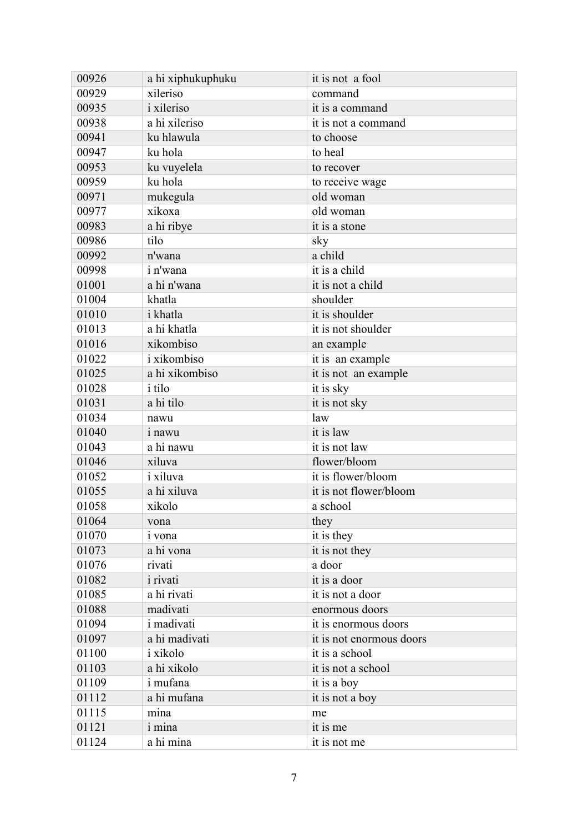| 00926 | a hi xiphukuphuku | it is not a fool         |
|-------|-------------------|--------------------------|
| 00929 | xileriso          | command                  |
| 00935 | <i>i</i> xileriso | it is a command          |
| 00938 | a hi xileriso     | it is not a command      |
| 00941 | ku hlawula        | to choose                |
| 00947 | ku hola           | to heal                  |
| 00953 | ku vuyelela       | to recover               |
| 00959 | ku hola           | to receive wage          |
| 00971 | mukegula          | old woman                |
| 00977 | xikoxa            | old woman                |
| 00983 | a hi ribye        | it is a stone            |
| 00986 | tilo              | sky                      |
| 00992 | n'wana            | a child                  |
| 00998 | i n'wana          | it is a child            |
| 01001 | a hi n'wana       | it is not a child        |
| 01004 | khatla            | shoulder                 |
| 01010 | <i>i</i> khatla   | it is shoulder           |
| 01013 | a hi khatla       | it is not shoulder       |
| 01016 | xikombiso         | an example               |
| 01022 | i xikombiso       | it is an example         |
| 01025 | a hi xikombiso    | it is not an example     |
| 01028 | <i>i</i> tilo     | it is sky                |
| 01031 | a hi tilo         | it is not sky            |
| 01034 | nawu              | law                      |
| 01040 | <i>i</i> nawu     | it is law                |
| 01043 | a hi nawu         | it is not law            |
| 01046 | xiluva            | flower/bloom             |
| 01052 | <i>i</i> xiluva   | it is flower/bloom       |
| 01055 | a hi xiluva       | it is not flower/bloom   |
| 01058 | xikolo            | a school                 |
| 01064 | vona              | they                     |
| 01070 | <i>i</i> vona     | it is they               |
| 01073 | a hi vona         | it is not they           |
| 01076 | rivati            | a door                   |
| 01082 | <i>i</i> rivati   | it is a door             |
| 01085 | a hi rivati       | it is not a door         |
| 01088 | madivati          | enormous doors           |
| 01094 | <i>i</i> madivati | it is enormous doors     |
| 01097 | a hi madivati     | it is not enormous doors |
| 01100 | i xikolo          | it is a school           |
| 01103 | a hi xikolo       | it is not a school       |
| 01109 | <i>i</i> mufana   | it is a boy              |
| 01112 | a hi mufana       | it is not a boy          |
| 01115 | mina              | me                       |
| 01121 | <i>i</i> mina     | it is me                 |
| 01124 | a hi mina         | it is not me             |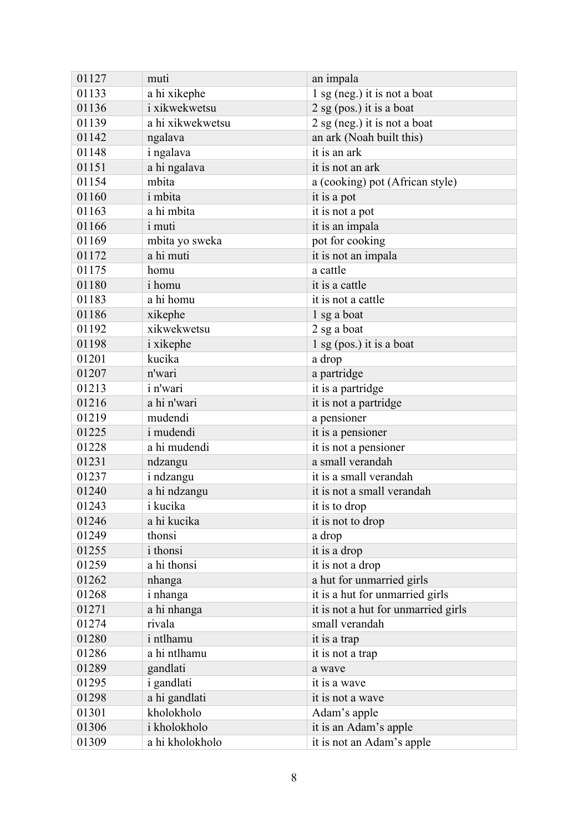| 01127 | muti              | an impala                           |
|-------|-------------------|-------------------------------------|
| 01133 | a hi xikephe      | $1$ sg (neg.) it is not a boat      |
| 01136 | i xikwekwetsu     | 2 sg (pos.) it is a boat            |
| 01139 | a hi xikwekwetsu  | 2 sg (neg.) it is not a boat        |
| 01142 | ngalava           | an ark (Noah built this)            |
| 01148 | i ngalava         | it is an ark                        |
| 01151 | a hi ngalava      | it is not an ark                    |
| 01154 | mbita             | a (cooking) pot (African style)     |
| 01160 | <i>i</i> mbita    | it is a pot                         |
| 01163 | a hi mbita        | it is not a pot                     |
| 01166 | <i>i</i> muti     | it is an impala                     |
| 01169 | mbita yo sweka    | pot for cooking                     |
| 01172 | a hi muti         | it is not an impala                 |
| 01175 | homu              | a cattle                            |
| 01180 | <i>i</i> homu     | it is a cattle                      |
| 01183 | a hi homu         | it is not a cattle                  |
| 01186 | xikephe           | 1 sg a boat                         |
| 01192 | xikwekwetsu       | 2 sg a boat                         |
| 01198 | <i>i</i> xikephe  | 1 sg (pos.) it is a boat            |
| 01201 | kucika            | a drop                              |
| 01207 | n'wari            | a partridge                         |
| 01213 | <i>i</i> n'wari   | it is a partridge                   |
| 01216 | a hi n'wari       | it is not a partridge               |
| 01219 | mudendi           | a pensioner                         |
| 01225 | <i>i</i> mudendi  | it is a pensioner                   |
| 01228 | a hi mudendi      | it is not a pensioner               |
| 01231 | ndzangu           | a small verandah                    |
| 01237 | i ndzangu         | it is a small verandah              |
| 01240 | a hi ndzangu      | it is not a small verandah          |
| 01243 | i kucika          | it is to drop                       |
| 01246 | a hi kucika       | it is not to drop                   |
| 01249 | thonsi            | a drop                              |
| 01255 | <i>i</i> thonsi   | it is a drop                        |
| 01259 | a hi thonsi       | it is not a drop                    |
| 01262 | nhanga            | a hut for unmarried girls           |
| 01268 | i nhanga          | it is a hut for unmarried girls     |
| 01271 | a hi nhanga       | it is not a hut for unmarried girls |
| 01274 | rivala            | small verandah                      |
| 01280 | i ntlhamu         | it is a trap                        |
| 01286 | a hi ntlhamu      | it is not a trap                    |
| 01289 | gandlati          | a wave                              |
| 01295 | <i>i</i> gandlati | it is a wave                        |
| 01298 | a hi gandlati     | it is not a wave                    |
| 01301 | kholokholo        | Adam's apple                        |
| 01306 | i kholokholo      | it is an Adam's apple               |
| 01309 | a hi kholokholo   | it is not an Adam's apple           |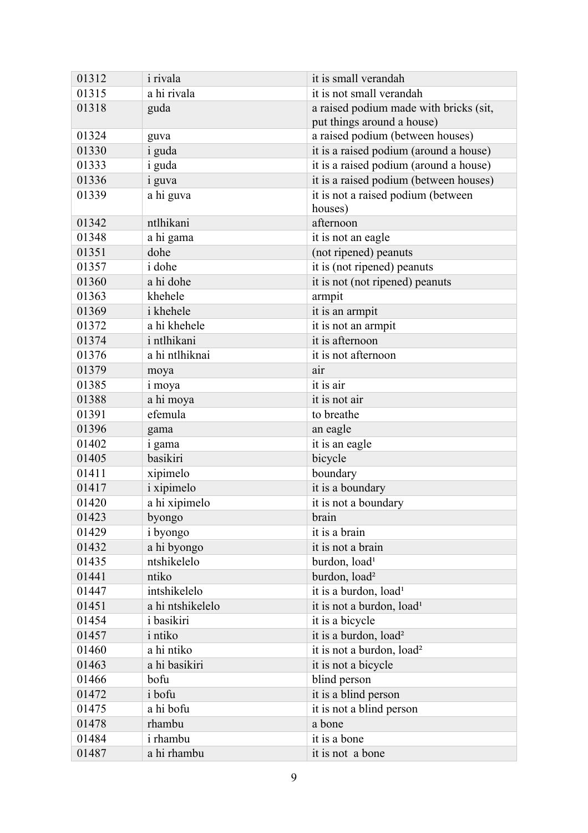| 01312 | <i>i</i> rivala  | it is small verandah                   |
|-------|------------------|----------------------------------------|
| 01315 | a hi rivala      | it is not small verandah               |
| 01318 | guda             | a raised podium made with bricks (sit, |
|       |                  | put things around a house)             |
| 01324 | guva             | a raised podium (between houses)       |
| 01330 | <i>i</i> guda    | it is a raised podium (around a house) |
| 01333 | <i>i</i> guda    | it is a raised podium (around a house) |
| 01336 | <i>i</i> guva    | it is a raised podium (between houses) |
| 01339 | a hi guva        | it is not a raised podium (between     |
|       |                  | houses)                                |
| 01342 | ntlhikani        | afternoon                              |
| 01348 | a hi gama        | it is not an eagle                     |
| 01351 | dohe             | (not ripened) peanuts                  |
| 01357 | <i>i</i> dohe    | it is (not ripened) peanuts            |
| 01360 | a hi dohe        | it is not (not ripened) peanuts        |
| 01363 | khehele          | armpit                                 |
| 01369 | i khehele        | it is an armpit                        |
| 01372 | a hi khehele     | it is not an armpit                    |
| 01374 | i ntlhikani      | it is afternoon                        |
| 01376 | a hi ntlhiknai   | it is not afternoon                    |
| 01379 | moya             | air                                    |
| 01385 | i moya           | it is air                              |
| 01388 | a hi moya        | it is not air                          |
| 01391 | efemula          | to breathe                             |
| 01396 | gama             | an eagle                               |
| 01402 | i gama           | it is an eagle                         |
| 01405 | basikiri         | bicycle                                |
| 01411 | xipimelo         | boundary                               |
| 01417 | i xipimelo       | it is a boundary                       |
| 01420 | a hi xipimelo    | it is not a boundary                   |
| 01423 | byongo           | brain                                  |
| 01429 | <i>i</i> byongo  | it is a brain                          |
| 01432 | a hi byongo      | it is not a brain                      |
| 01435 | ntshikelelo      | burdon, load <sup>1</sup>              |
| 01441 | ntiko            | burdon, load <sup>2</sup>              |
| 01447 | intshikelelo     | it is a burdon, load <sup>1</sup>      |
| 01451 | a hi ntshikelelo | it is not a burdon, load <sup>1</sup>  |
| 01454 | i basikiri       | it is a bicycle                        |
| 01457 | <i>i</i> ntiko   | it is a burdon, load <sup>2</sup>      |
| 01460 | a hi ntiko       | it is not a burdon, load <sup>2</sup>  |
| 01463 | a hi basikiri    | it is not a bicycle                    |
| 01466 | bofu             | blind person                           |
| 01472 | i bofu           | it is a blind person                   |
| 01475 | a hi bofu        | it is not a blind person               |
| 01478 | rhambu           | a bone                                 |
| 01484 | i rhambu         | it is a bone                           |
| 01487 | a hi rhambu      | it is not a bone                       |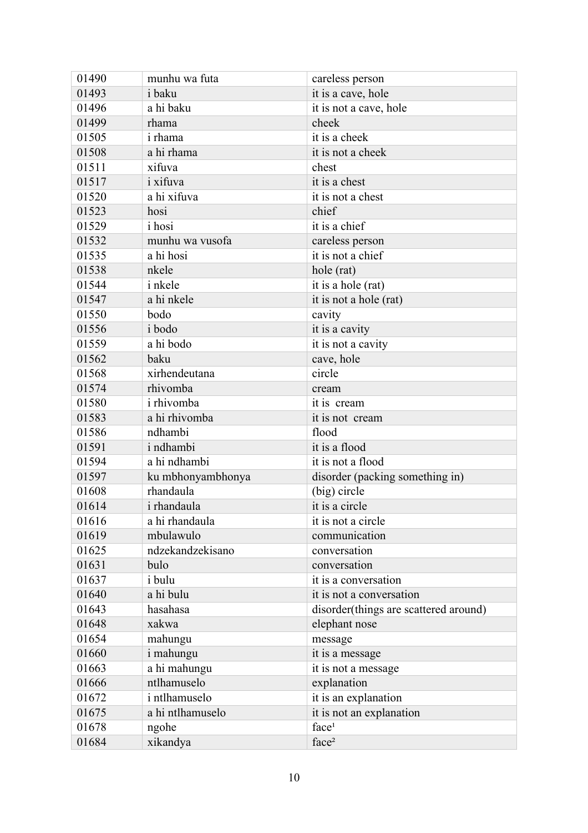| 01490 | munhu wa futa        | careless person                       |
|-------|----------------------|---------------------------------------|
| 01493 | <i>i</i> baku        | it is a cave, hole                    |
| 01496 | a hi baku            | it is not a cave, hole                |
| 01499 | rhama                | cheek                                 |
| 01505 | <i>i</i> rhama       | it is a cheek                         |
| 01508 | a hi rhama           | it is not a cheek                     |
| 01511 | xifuva               | chest                                 |
| 01517 | <i>i</i> xifuva      | it is a chest                         |
| 01520 | a hi xifuva          | it is not a chest                     |
| 01523 | hosi                 | chief                                 |
| 01529 | <i>i</i> hosi        | it is a chief                         |
| 01532 | munhu wa vusofa      | careless person                       |
| 01535 | a hi hosi            | it is not a chief                     |
| 01538 | nkele                | hole (rat)                            |
| 01544 | i nkele              | it is a hole (rat)                    |
| 01547 | a hi nkele           | it is not a hole (rat)                |
| 01550 | bodo                 | cavity                                |
| 01556 | i bodo               | it is a cavity                        |
| 01559 | a hi bodo            | it is not a cavity                    |
| 01562 | baku                 | cave, hole                            |
| 01568 | xirhendeutana        | circle                                |
| 01574 | rhivomba             | cream                                 |
| 01580 | <i>i</i> rhivomba    | it is cream                           |
| 01583 | a hi rhivomba        | it is not cream                       |
| 01586 | ndhambi              | flood                                 |
| 01591 | i ndhambi            | it is a flood                         |
| 01594 | a hi ndhambi         | it is not a flood                     |
| 01597 | ku mbhonyambhonya    | disorder (packing something in)       |
| 01608 | rhandaula            | (big) circle                          |
| 01614 | i rhandaula          | it is a circle                        |
| 01616 | a hi rhandaula       | it is not a circle                    |
| 01619 | mbulawulo            | communication                         |
| 01625 | ndzekandzekisano     | conversation                          |
| 01631 | bulo                 | conversation                          |
| 01637 | <i>i</i> bulu        | it is a conversation                  |
| 01640 | a hi bulu            | it is not a conversation              |
| 01643 | hasahasa             | disorder(things are scattered around) |
| 01648 | xakwa                | elephant nose                         |
| 01654 | mahungu              | message                               |
| 01660 | i mahungu            | it is a message                       |
| 01663 | a hi mahungu         | it is not a message                   |
| 01666 | ntlhamuselo          | explanation                           |
| 01672 | <i>i</i> ntlhamuselo | it is an explanation                  |
| 01675 | a hi ntlhamuselo     | it is not an explanation              |
| 01678 | ngohe                | face <sup>1</sup>                     |
| 01684 | xikandya             | face <sup>2</sup>                     |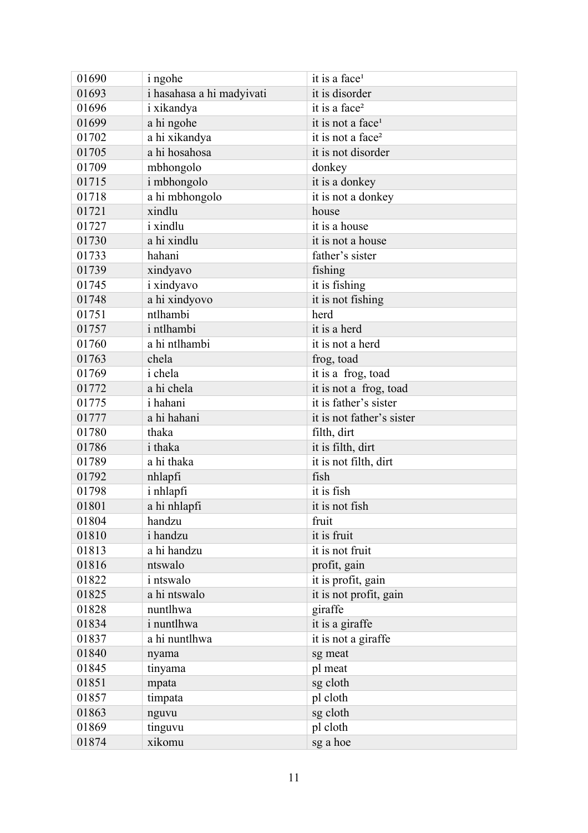| 01690 | <i>i</i> ngohe            | it is a face <sup>1</sup>     |
|-------|---------------------------|-------------------------------|
| 01693 | i hasahasa a hi madyivati | it is disorder                |
| 01696 | i xikandya                | it is a face <sup>2</sup>     |
| 01699 | a hi ngohe                | it is not a face <sup>1</sup> |
| 01702 | a hi xikandya             | it is not a face <sup>2</sup> |
| 01705 | a hi hosahosa             | it is not disorder            |
| 01709 | mbhongolo                 | donkey                        |
| 01715 | i mbhongolo               | it is a donkey                |
| 01718 | a hi mbhongolo            | it is not a donkey            |
| 01721 | xindlu                    | house                         |
| 01727 | <i>i</i> xindlu           | it is a house                 |
| 01730 | a hi xindlu               | it is not a house             |
| 01733 | hahani                    | father's sister               |
| 01739 | xindyavo                  | fishing                       |
| 01745 | <i>i</i> xindyavo         | it is fishing                 |
| 01748 | a hi xindyovo             | it is not fishing             |
| 01751 | ntlhambi                  | herd                          |
| 01757 | <i>i</i> ntlhambi         | it is a herd                  |
| 01760 | a hi ntlhambi             | it is not a herd              |
| 01763 | chela                     | frog, toad                    |
| 01769 | <i>i</i> chela            | it is a frog, toad            |
| 01772 | a hi chela                | it is not a frog, toad        |
| 01775 | i hahani                  | it is father's sister         |
| 01777 | a hi hahani               | it is not father's sister     |
| 01780 | thaka                     | filth, dirt                   |
| 01786 | <i>i</i> thaka            | it is filth, dirt             |
| 01789 | a hi thaka                | it is not filth, dirt         |
| 01792 | nhlapfi                   | fish                          |
| 01798 | i nhlapfi                 | it is fish                    |
| 01801 | a hi nhlapfi              | it is not fish                |
| 01804 | handzu                    | fruit                         |
| 01810 | i handzu                  | it is fruit                   |
| 01813 | a hi handzu               | it is not fruit               |
| 01816 | ntswalo                   | profit, gain                  |
| 01822 | <i>i</i> ntswalo          | it is profit, gain            |
| 01825 | a hi ntswalo              | it is not profit, gain        |
| 01828 | nuntlhwa                  | giraffe                       |
| 01834 | <i>i</i> nuntlhwa         | it is a giraffe               |
| 01837 | a hi nuntlhwa             | it is not a giraffe           |
| 01840 | nyama                     | sg meat                       |
| 01845 | tinyama                   | pl meat                       |
| 01851 | mpata                     | sg cloth                      |
| 01857 | timpata                   | pl cloth                      |
| 01863 | nguvu                     | sg cloth                      |
| 01869 | tinguvu                   | pl cloth                      |
| 01874 | xikomu                    | sg a hoe                      |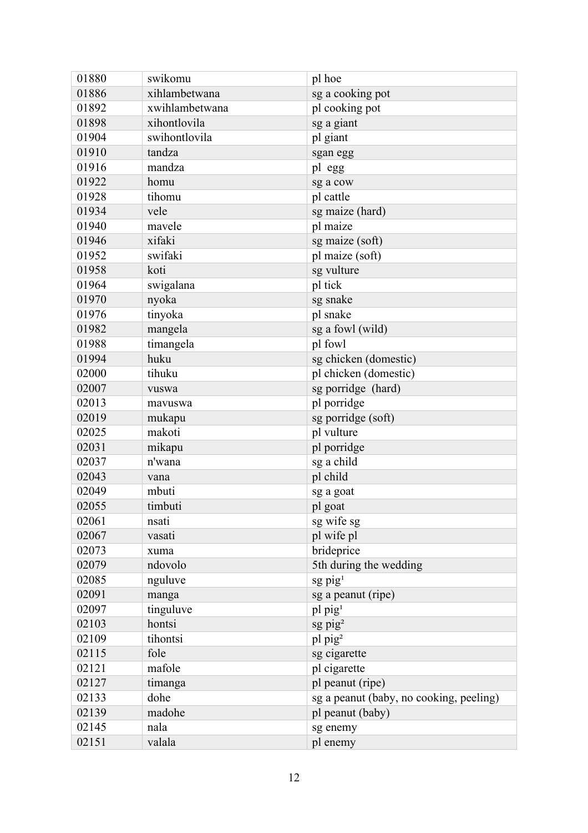| 01880 | swikomu        | pl hoe                                  |
|-------|----------------|-----------------------------------------|
| 01886 | xihlambetwana  | sg a cooking pot                        |
| 01892 | xwihlambetwana | pl cooking pot                          |
| 01898 | xihontlovila   | sg a giant                              |
| 01904 | swihontlovila  | pl giant                                |
| 01910 | tandza         | sgan egg                                |
| 01916 | mandza         | pl egg                                  |
| 01922 | homu           | sg a cow                                |
| 01928 | tihomu         | pl cattle                               |
| 01934 | vele           | sg maize (hard)                         |
| 01940 | mavele         | pl maize                                |
| 01946 | xifaki         | sg maize (soft)                         |
| 01952 | swifaki        | pl maize (soft)                         |
| 01958 | koti           | sg vulture                              |
| 01964 | swigalana      | pl tick                                 |
| 01970 | nyoka          | sg snake                                |
| 01976 | tinyoka        | pl snake                                |
| 01982 | mangela        | sg a fowl (wild)                        |
| 01988 | timangela      | pl fowl                                 |
| 01994 | huku           | sg chicken (domestic)                   |
| 02000 | tihuku         | pl chicken (domestic)                   |
| 02007 | vuswa          | sg porridge (hard)                      |
| 02013 | mavuswa        | pl porridge                             |
| 02019 | mukapu         | sg porridge (soft)                      |
| 02025 | makoti         | pl vulture                              |
| 02031 | mikapu         | pl porridge                             |
| 02037 | n'wana         | sg a child                              |
| 02043 | vana           | pl child                                |
| 02049 | mbuti          | sg a goat                               |
| 02055 | timbuti        | pl goat                                 |
| 02061 | nsati          | sg wife sg                              |
| 02067 | vasati         | pl wife pl                              |
| 02073 | xuma           | brideprice                              |
| 02079 | ndovolo        | 5th during the wedding                  |
| 02085 | nguluve        | $sg$ pig <sup>1</sup>                   |
| 02091 | manga          | sg a peanut (ripe)                      |
| 02097 | tinguluve      | pl pig <sup>1</sup>                     |
| 02103 | hontsi         | $sg$ pig <sup>2</sup>                   |
| 02109 | tihontsi       | pl pig <sup>2</sup>                     |
| 02115 | fole           | sg cigarette                            |
| 02121 | mafole         | pl cigarette                            |
| 02127 | timanga        | pl peanut (ripe)                        |
| 02133 | dohe           | sg a peanut (baby, no cooking, peeling) |
| 02139 | madohe         | pl peanut (baby)                        |
| 02145 | nala           | sg enemy                                |
| 02151 | valala         | pl enemy                                |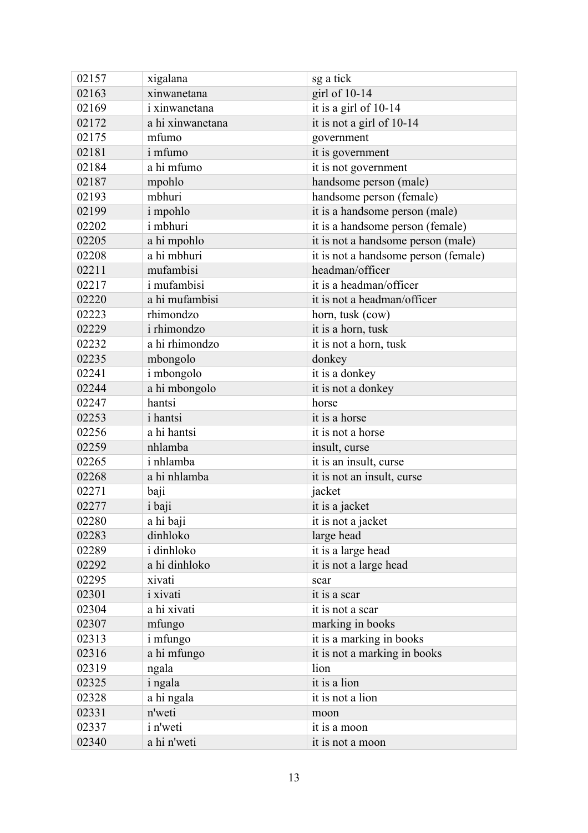| 02157 | xigalana           | sg a tick                            |
|-------|--------------------|--------------------------------------|
| 02163 | xinwanetana        | girl of 10-14                        |
| 02169 | i xinwanetana      | it is a girl of 10-14                |
| 02172 | a hi xinwanetana   | it is not a girl of 10-14            |
| 02175 | mfumo              | government                           |
| 02181 | i mfumo            | it is government                     |
| 02184 | a hi mfumo         | it is not government                 |
| 02187 | mpohlo             | handsome person (male)               |
| 02193 | mbhuri             | handsome person (female)             |
| 02199 | i mpohlo           | it is a handsome person (male)       |
| 02202 | <i>i</i> mbhuri    | it is a handsome person (female)     |
| 02205 | a hi mpohlo        | it is not a handsome person (male)   |
| 02208 | a hi mbhuri        | it is not a handsome person (female) |
| 02211 | mufambisi          | headman/officer                      |
| 02217 | <i>i</i> mufambisi | it is a headman/officer              |
| 02220 | a hi mufambisi     | it is not a headman/officer          |
| 02223 | rhimondzo          | horn, tusk (cow)                     |
| 02229 | i rhimondzo        | it is a horn, tusk                   |
| 02232 | a hi rhimondzo     | it is not a horn, tusk               |
| 02235 | mbongolo           | donkey                               |
| 02241 | i mbongolo         | it is a donkey                       |
| 02244 | a hi mbongolo      | it is not a donkey                   |
| 02247 | hantsi             | horse                                |
| 02253 | <i>i</i> hantsi    | it is a horse                        |
| 02256 | a hi hantsi        | it is not a horse                    |
| 02259 | nhlamba            | insult, curse                        |
| 02265 | i nhlamba          | it is an insult, curse               |
| 02268 | a hi nhlamba       | it is not an insult, curse           |
| 02271 | baji               | jacket                               |
| 02277 | i baji             | it is a jacket                       |
| 02280 | a hi baji          | it is not a jacket                   |
| 02283 | dinhloko           | large head                           |
| 02289 | i dinhloko         | it is a large head                   |
| 02292 | a hi dinhloko      | it is not a large head               |
| 02295 | xivati             | scar                                 |
| 02301 | <i>i</i> xivati    | it is a scar                         |
| 02304 | a hi xivati        | it is not a scar                     |
| 02307 | mfungo             | marking in books                     |
| 02313 | <i>i</i> mfungo    | it is a marking in books             |
| 02316 | a hi mfungo        | it is not a marking in books         |
| 02319 | ngala              | lion                                 |
| 02325 | <i>i</i> ngala     | it is a lion                         |
| 02328 | a hi ngala         | it is not a lion                     |
| 02331 | n'weti             | moon                                 |
| 02337 | i n'weti           | it is a moon                         |
| 02340 | a hi n'weti        | it is not a moon                     |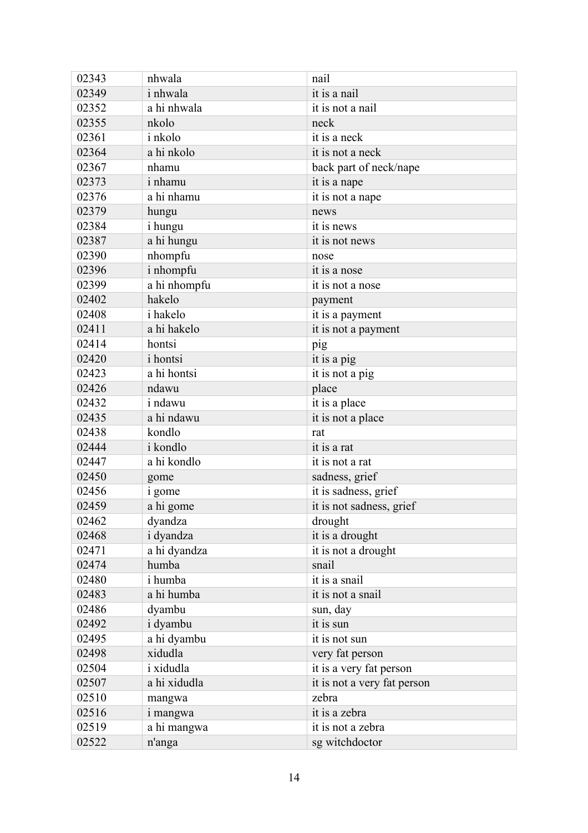| 02343 | nhwala          | nail                        |
|-------|-----------------|-----------------------------|
| 02349 | <i>i</i> nhwala | it is a nail                |
| 02352 | a hi nhwala     | it is not a nail            |
| 02355 | nkolo           | neck                        |
| 02361 | <i>i</i> nkolo  | it is a neck                |
| 02364 | a hi nkolo      | it is not a neck            |
| 02367 | nhamu           | back part of neck/nape      |
| 02373 | <i>i</i> nhamu  | it is a nape                |
| 02376 | a hi nhamu      | it is not a nape            |
| 02379 | hungu           | news                        |
| 02384 | <i>i</i> hungu  | it is news                  |
| 02387 | a hi hungu      | it is not news              |
| 02390 | nhompfu         | nose                        |
| 02396 | i nhompfu       | it is a nose                |
| 02399 | a hi nhompfu    | it is not a nose            |
| 02402 | hakelo          | payment                     |
| 02408 | <i>i</i> hakelo | it is a payment             |
| 02411 | a hi hakelo     | it is not a payment         |
| 02414 | hontsi          | pig                         |
| 02420 | <i>i</i> hontsi | it is a pig                 |
| 02423 | a hi hontsi     | it is not a pig             |
| 02426 | ndawu           | place                       |
| 02432 | <i>i</i> ndawu  | it is a place               |
| 02435 | a hi ndawu      | it is not a place           |
| 02438 | kondlo          | rat                         |
| 02444 | i kondlo        | it is a rat                 |
| 02447 | a hi kondlo     | it is not a rat             |
| 02450 | gome            | sadness, grief              |
| 02456 | i gome          | it is sadness, grief        |
| 02459 | a hi gome       | it is not sadness, grief    |
| 02462 | dyandza         | drought                     |
| 02468 | i dyandza       | it is a drought             |
| 02471 | a hi dyandza    | it is not a drought         |
| 02474 | humba           | snail                       |
| 02480 | <i>i</i> humba  | it is a snail               |
| 02483 | a hi humba      | it is not a snail           |
| 02486 | dyambu          | sun, day                    |
| 02492 | i dyambu        | it is sun                   |
| 02495 | a hi dyambu     | it is not sun               |
| 02498 | xidudla         | very fat person             |
| 02504 | i xidudla       | it is a very fat person     |
| 02507 | a hi xidudla    | it is not a very fat person |
| 02510 | mangwa          | zebra                       |
| 02516 | i mangwa        | it is a zebra               |
| 02519 | a hi mangwa     | it is not a zebra           |
| 02522 | n'anga          | sg witchdoctor              |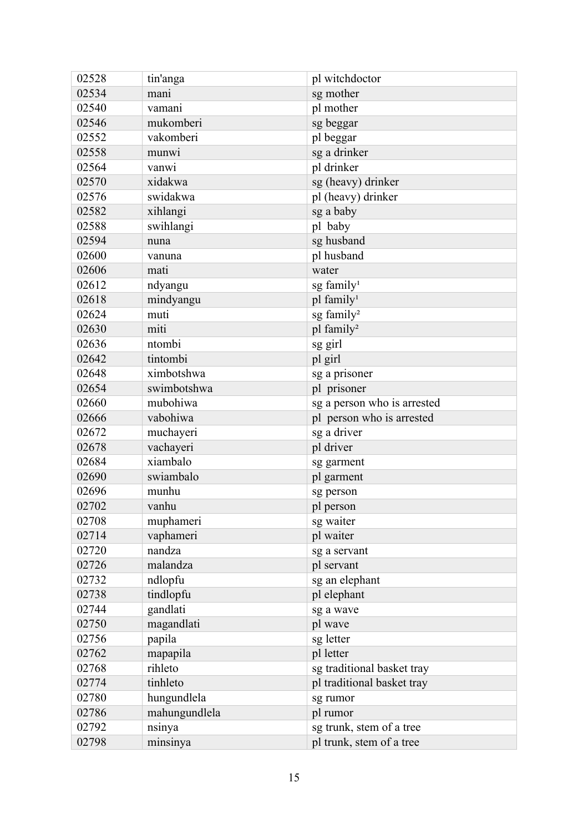| 02528 | tin'anga      | pl witchdoctor              |
|-------|---------------|-----------------------------|
| 02534 | mani          | sg mother                   |
| 02540 | vamani        | pl mother                   |
| 02546 | mukomberi     | sg beggar                   |
| 02552 | vakomberi     | pl beggar                   |
| 02558 | munwi         | sg a drinker                |
| 02564 | vanwi         | pl drinker                  |
| 02570 | xidakwa       | sg (heavy) drinker          |
| 02576 | swidakwa      | pl (heavy) drinker          |
| 02582 | xihlangi      | sg a baby                   |
| 02588 | swihlangi     | pl baby                     |
| 02594 | nuna          | sg husband                  |
| 02600 | vanuna        | pl husband                  |
| 02606 | mati          | water                       |
| 02612 | ndyangu       | sg family <sup>1</sup>      |
| 02618 | mindyangu     | pl family <sup>1</sup>      |
| 02624 | muti          | sg family <sup>2</sup>      |
| 02630 | miti          | pl family <sup>2</sup>      |
| 02636 | ntombi        | sg girl                     |
| 02642 | tintombi      | pl girl                     |
| 02648 | ximbotshwa    | sg a prisoner               |
| 02654 | swimbotshwa   | pl prisoner                 |
| 02660 | mubohiwa      | sg a person who is arrested |
| 02666 | vabohiwa      | pl person who is arrested   |
| 02672 | muchayeri     | sg a driver                 |
| 02678 | vachayeri     | pl driver                   |
| 02684 | xiambalo      | sg garment                  |
| 02690 | swiambalo     | pl garment                  |
| 02696 | munhu         | sg person                   |
| 02702 | vanhu         | pl person                   |
| 02708 | muphameri     | sg waiter                   |
| 02714 | vaphameri     | pl waiter                   |
| 02720 | nandza        | sg a servant                |
| 02726 | malandza      | pl servant                  |
| 02732 | ndlopfu       | sg an elephant              |
| 02738 | tindlopfu     | pl elephant                 |
| 02744 | gandlati      | sg a wave                   |
| 02750 | magandlati    | pl wave                     |
| 02756 | papila        | sg letter                   |
| 02762 | mapapila      | pl letter                   |
| 02768 | rihleto       | sg traditional basket tray  |
| 02774 | tinhleto      | pl traditional basket tray  |
| 02780 | hungundlela   | sg rumor                    |
| 02786 | mahungundlela | pl rumor                    |
| 02792 | nsinya        | sg trunk, stem of a tree    |
| 02798 | minsinya      | pl trunk, stem of a tree    |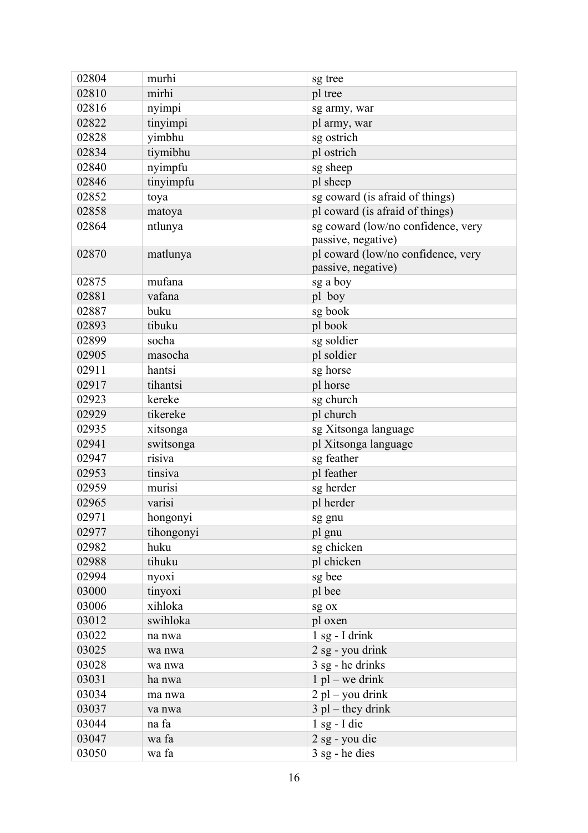| 02804 | murhi      | sg tree                                                  |
|-------|------------|----------------------------------------------------------|
| 02810 | mirhi      | pl tree                                                  |
| 02816 | nyimpi     | sg army, war                                             |
| 02822 | tinyimpi   | pl army, war                                             |
| 02828 | yimbhu     | sg ostrich                                               |
| 02834 | tiymibhu   | pl ostrich                                               |
| 02840 | nyimpfu    | sg sheep                                                 |
| 02846 | tinyimpfu  | pl sheep                                                 |
| 02852 | toya       | sg coward (is afraid of things)                          |
| 02858 | matoya     | pl coward (is afraid of things)                          |
| 02864 | ntlunya    | sg coward (low/no confidence, very<br>passive, negative) |
| 02870 | matlunya   | pl coward (low/no confidence, very<br>passive, negative) |
| 02875 | mufana     | sg a boy                                                 |
| 02881 | vafana     | pl boy                                                   |
| 02887 | buku       | sg book                                                  |
| 02893 | tibuku     | pl book                                                  |
| 02899 | socha      | sg soldier                                               |
| 02905 | masocha    | pl soldier                                               |
| 02911 | hantsi     | sg horse                                                 |
| 02917 | tihantsi   | pl horse                                                 |
| 02923 | kereke     | sg church                                                |
| 02929 | tikereke   | pl church                                                |
| 02935 | xitsonga   | sg Xitsonga language                                     |
| 02941 | switsonga  | pl Xitsonga language                                     |
| 02947 | risiva     | sg feather                                               |
| 02953 | tinsiva    | pl feather                                               |
| 02959 | murisi     | sg herder                                                |
| 02965 | varisi     | pl herder                                                |
| 02971 | hongonyi   | sg gnu                                                   |
| 02977 | tihongonyi | pl gnu                                                   |
| 02982 | huku       | sg chicken                                               |
| 02988 | tihuku     | pl chicken                                               |
| 02994 | nyoxi      | sg bee                                                   |
| 03000 | tinyoxi    | pl bee                                                   |
| 03006 | xihloka    | sg ox                                                    |
| 03012 | swihloka   | pl oxen                                                  |
| 03022 | na nwa     | $1$ sg - I drink                                         |
| 03025 | wa nwa     | 2 sg - you drink                                         |
| 03028 | wa nwa     | 3 sg - he drinks                                         |
| 03031 | ha nwa     | $1$ pl – we drink                                        |
| 03034 | ma nwa     | $2$ pl – you drink                                       |
| 03037 | va nwa     | $3$ pl – they drink                                      |
| 03044 | na fa      | $1$ sg - I die                                           |
| 03047 | wa fa      | 2 sg - you die                                           |
| 03050 | wa fa      | $3$ sg - he dies                                         |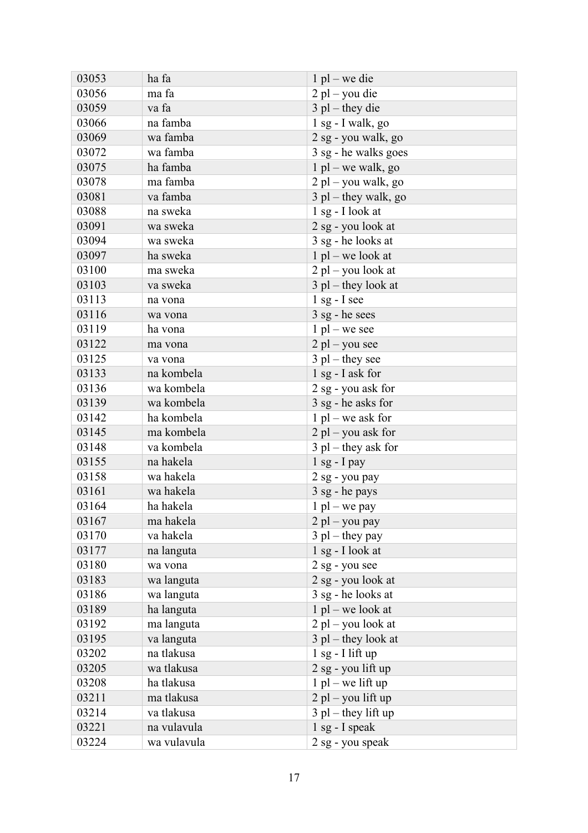| 03053 | ha fa       | $1$ pl – we die        |
|-------|-------------|------------------------|
| 03056 | ma fa       | $2$ pl – you die       |
| 03059 | va fa       | $3$ pl – they die      |
| 03066 | na famba    | $1$ sg - I walk, go    |
| 03069 | wa famba    | 2 sg - you walk, go    |
| 03072 | wa famba    | 3 sg - he walks goes   |
| 03075 | ha famba    | $1$ pl – we walk, go   |
| 03078 | ma famba    | $2$ pl – you walk, go  |
| 03081 | va famba    | $3$ pl – they walk, go |
| 03088 | na sweka    | $1$ sg - I look at     |
| 03091 | wa sweka    | 2 sg - you look at     |
| 03094 | wa sweka    | 3 sg - he looks at     |
| 03097 | ha sweka    | $1$ pl – we look at    |
| 03100 | ma sweka    | $2$ pl – you look at   |
| 03103 | va sweka    | $3$ pl – they look at  |
| 03113 | na vona     | $1$ sg - I see         |
| 03116 | wa vona     | $3$ sg - he sees       |
| 03119 | ha vona     | $1$ pl – we see        |
| 03122 | ma vona     | $2$ pl – you see       |
| 03125 | va vona     | $3$ pl – they see      |
| 03133 | na kombela  | 1 sg - I ask for       |
| 03136 | wa kombela  | 2 sg - you ask for     |
| 03139 | wa kombela  | 3 sg - he asks for     |
| 03142 | ha kombela  | $1$ pl – we ask for    |
| 03145 | ma kombela  | $2$ pl – you ask for   |
| 03148 | va kombela  | $3$ pl – they ask for  |
| 03155 | na hakela   | $1$ sg - I pay         |
| 03158 | wa hakela   | 2 sg - you pay         |
| 03161 | wa hakela   | 3 sg - he pays         |
| 03164 | ha hakela   | $1$ pl – we pay        |
| 03167 | ma hakela   | $2$ pl – you pay       |
| 03170 | va hakela   | $3$ pl – they pay      |
| 03177 | na languta  | 1 sg - I look at       |
| 03180 | wa vona     | 2 sg - you see         |
| 03183 | wa languta  | 2 sg - you look at     |
| 03186 | wa languta  | 3 sg - he looks at     |
| 03189 | ha languta  | $1$ pl – we look at    |
| 03192 | ma languta  | $2$ pl – you look at   |
| 03195 | va languta  | $3$ pl – they look at  |
| 03202 | na tlakusa  | $1$ sg - I lift up     |
| 03205 | wa tlakusa  | 2 sg - you lift up     |
| 03208 | ha tlakusa  | $1$ pl – we lift up    |
| 03211 | ma tlakusa  | $2$ pl – you lift up   |
| 03214 | va tlakusa  | $3$ pl – they lift up  |
| 03221 | na vulavula | $1$ sg - I speak       |
| 03224 | wa vulavula | 2 sg - you speak       |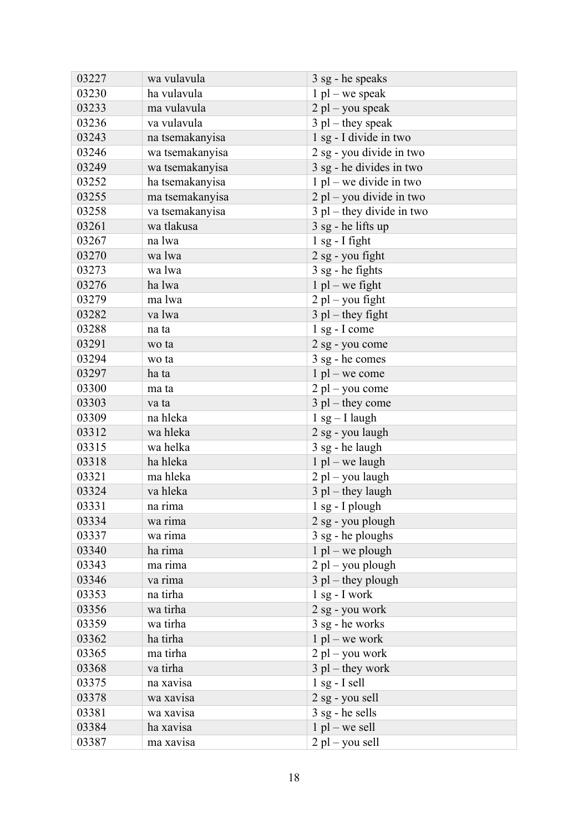| 03227 | wa vulavula     | 3 sg - he speaks            |
|-------|-----------------|-----------------------------|
| 03230 | ha vulavula     | $1$ pl – we speak           |
| 03233 | ma vulavula     | $2$ pl – you speak          |
| 03236 | va vulavula     | $3$ pl – they speak         |
| 03243 | na tsemakanyisa | 1 sg - I divide in two      |
| 03246 | wa tsemakanyisa | 2 sg - you divide in two    |
| 03249 | wa tsemakanyisa | 3 sg - he divides in two    |
| 03252 | ha tsemakanyisa | $1$ pl – we divide in two   |
| 03255 | ma tsemakanyisa | $2$ pl – you divide in two  |
| 03258 | va tsemakanyisa | $3$ pl – they divide in two |
| 03261 | wa tlakusa      | $3$ sg - he lifts up        |
| 03267 | na lwa          | $1$ sg - I fight            |
| 03270 | wa lwa          | 2 sg - you fight            |
| 03273 | wa lwa          | 3 sg - he fights            |
| 03276 | ha lwa          | $1$ pl – we fight           |
| 03279 | ma lwa          | $2$ pl – you fight          |
| 03282 | va lwa          | $3$ pl – they fight         |
| 03288 | na ta           | $1$ sg - I come             |
| 03291 | wo ta           | 2 sg - you come             |
| 03294 | wo ta           | 3 sg - he comes             |
| 03297 | ha ta           | $1$ pl – we come            |
| 03300 | ma ta           | $2$ pl – you come           |
| 03303 | va ta           | $3$ pl – they come          |
| 03309 | na hleka        | $1$ sg $-$ I laugh          |
| 03312 | wa hleka        | 2 sg - you laugh            |
| 03315 | wa helka        | 3 sg - he laugh             |
| 03318 | ha hleka        | $1$ pl – we laugh           |
| 03321 | ma hleka        | $2$ pl – you laugh          |
| 03324 | va hleka        | $3$ pl – they laugh         |
| 03331 | na rima         | $1$ sg - I plough           |
| 03334 | wa rima         | 2 sg - you plough           |
| 03337 | wa rima         | 3 sg - he ploughs           |
| 03340 | ha rima         | $1$ pl – we plough          |
| 03343 | ma rima         | $2$ pl – you plough         |
| 03346 | va rima         | $3$ pl – they plough        |
| 03353 | na tirha        | $1$ sg - I work             |
| 03356 | wa tirha        | 2 sg - you work             |
| 03359 | wa tirha        | 3 sg - he works             |
| 03362 | ha tirha        | $1$ pl – we work            |
| 03365 | ma tirha        | $2$ pl – you work           |
| 03368 | va tirha        | $3$ pl – they work          |
| 03375 | na xavisa       | $1$ sg - I sell             |
| 03378 | wa xavisa       | 2 sg - you sell             |
| 03381 | wa xavisa       | $3$ sg - he sells           |
| 03384 | ha xavisa       | $1$ pl – we sell            |
| 03387 | ma xavisa       | $2$ pl – you sell           |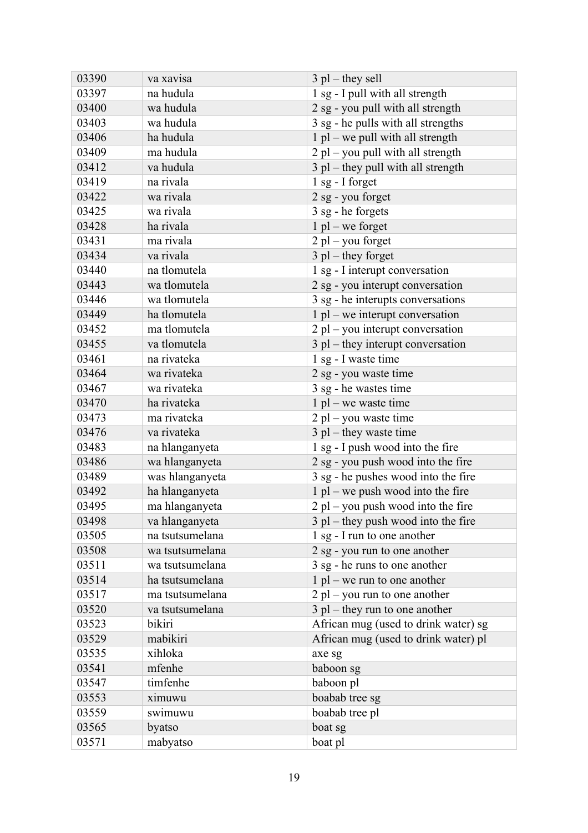| 03390 | va xavisa       | $3$ pl – they sell                    |
|-------|-----------------|---------------------------------------|
| 03397 | na hudula       | 1 sg - I pull with all strength       |
| 03400 | wa hudula       | 2 sg - you pull with all strength     |
| 03403 | wa hudula       | 3 sg - he pulls with all strengths    |
| 03406 | ha hudula       | $1$ pl – we pull with all strength    |
| 03409 | ma hudula       | $2$ pl – you pull with all strength   |
| 03412 | va hudula       | $3$ pl – they pull with all strength  |
| 03419 | na rivala       | $1$ sg - I forget                     |
| 03422 | wa rivala       | 2 sg - you forget                     |
| 03425 | wa rivala       | 3 sg - he forgets                     |
| 03428 | ha rivala       | $1$ pl – we forget                    |
| 03431 | ma rivala       | $2$ pl – you forget                   |
| 03434 | va rivala       | $3$ pl – they forget                  |
| 03440 | na tlomutela    | 1 sg - I interupt conversation        |
| 03443 | wa tlomutela    | 2 sg - you interupt conversation      |
| 03446 | wa tlomutela    | 3 sg - he interupts conversations     |
| 03449 | ha tlomutela    | $1$ pl – we interupt conversation     |
| 03452 | ma tlomutela    | $2$ pl – you interupt conversation    |
| 03455 | va tlomutela    | $3$ pl – they interupt conversation   |
| 03461 | na rivateka     | 1 sg - I waste time                   |
| 03464 | wa rivateka     | 2 sg - you waste time                 |
| 03467 | wa rivateka     | 3 sg - he wastes time                 |
| 03470 | ha rivateka     | $1$ pl – we waste time                |
| 03473 | ma rivateka     | $2$ pl – you waste time               |
| 03476 | va rivateka     | $3$ pl – they waste time              |
| 03483 | na hlanganyeta  | 1 sg - I push wood into the fire      |
| 03486 | wa hlanganyeta  | 2 sg - you push wood into the fire    |
| 03489 | was hlanganyeta | 3 sg - he pushes wood into the fire   |
| 03492 | ha hlanganyeta  | $1$ pl – we push wood into the fire   |
| 03495 | ma hlanganyeta  | $2$ pl – you push wood into the fire  |
| 03498 | va hlanganyeta  | $3$ pl – they push wood into the fire |
| 03505 | na tsutsumelana | 1 sg - I run to one another           |
| 03508 | wa tsutsumelana | 2 sg - you run to one another         |
| 03511 | wa tsutsumelana | 3 sg - he runs to one another         |
| 03514 | ha tsutsumelana | $1$ pl – we run to one another        |
| 03517 | ma tsutsumelana | $2$ pl – you run to one another       |
| 03520 | va tsutsumelana | $3$ pl – they run to one another      |
| 03523 | bikiri          | African mug (used to drink water) sg  |
| 03529 | mabikiri        | African mug (used to drink water) pl  |
| 03535 | xihloka         | axe sg                                |
| 03541 | mfenhe          | baboon sg                             |
| 03547 | timfenhe        | baboon pl                             |
| 03553 | ximuwu          | boabab tree sg                        |
| 03559 | swimuwu         | boabab tree pl                        |
| 03565 | byatso          | boat sg                               |
| 03571 | mabyatso        | boat pl                               |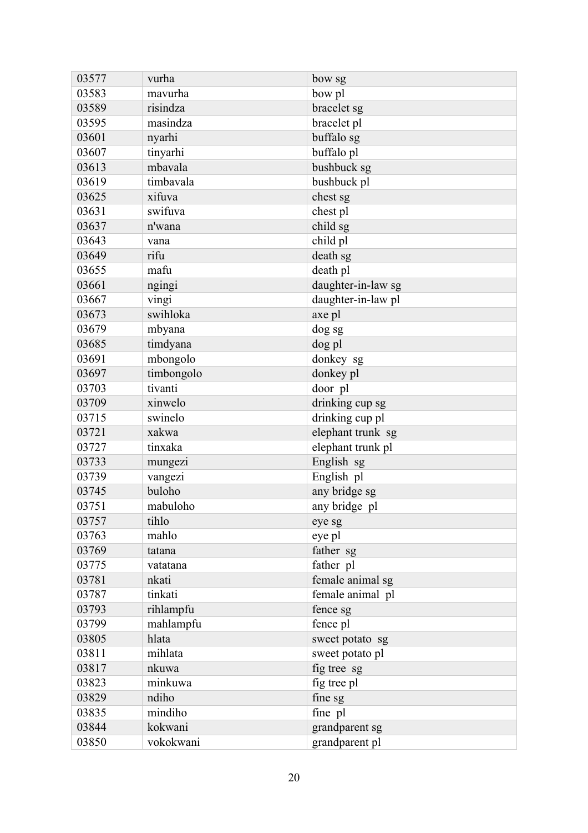| 03577 | vurha      | bow sg             |
|-------|------------|--------------------|
| 03583 | mavurha    | bow pl             |
| 03589 | risindza   | bracelet sg        |
| 03595 | masindza   | bracelet pl        |
| 03601 | nyarhi     | buffalo sg         |
| 03607 | tinyarhi   | buffalo pl         |
| 03613 | mbavala    | bushbuck sg        |
| 03619 | timbavala  | bushbuck pl        |
| 03625 | xifuva     | chest sg           |
| 03631 | swifuva    | chest pl           |
| 03637 | n'wana     | child sg           |
| 03643 | vana       | child pl           |
| 03649 | rifu       | death sg           |
| 03655 | mafu       | death pl           |
| 03661 | ngingi     | daughter-in-law sg |
| 03667 | vingi      | daughter-in-law pl |
| 03673 | swihloka   | axe pl             |
| 03679 | mbyana     | dog sg             |
| 03685 | timdyana   | dog pl             |
| 03691 | mbongolo   | donkey sg          |
| 03697 | timbongolo | donkey pl          |
| 03703 | tivanti    | door pl            |
| 03709 | xinwelo    | drinking cup sg    |
| 03715 | swinelo    | drinking cup pl    |
| 03721 | xakwa      | elephant trunk sg  |
| 03727 | tinxaka    | elephant trunk pl  |
| 03733 | mungezi    | English sg         |
| 03739 | vangezi    | English pl         |
| 03745 | buloho     | any bridge sg      |
| 03751 | mabuloho   | any bridge pl      |
| 03757 | tihlo      | eye sg             |
| 03763 | mahlo      | eye pl             |
| 03769 | tatana     | father sg          |
| 03775 | vatatana   | father pl          |
| 03781 | nkati      | female animal sg   |
| 03787 | tinkati    | female animal pl   |
| 03793 | rihlampfu  | fence sg           |
| 03799 | mahlampfu  | fence pl           |
| 03805 | hlata      | sweet potato sg    |
| 03811 | mihlata    | sweet potato pl    |
| 03817 | nkuwa      | fig tree sg        |
| 03823 | minkuwa    | fig tree pl        |
| 03829 | ndiho      | fine sg            |
| 03835 | mindiho    | fine pl            |
| 03844 | kokwani    | grandparent sg     |
| 03850 | vokokwani  | grandparent pl     |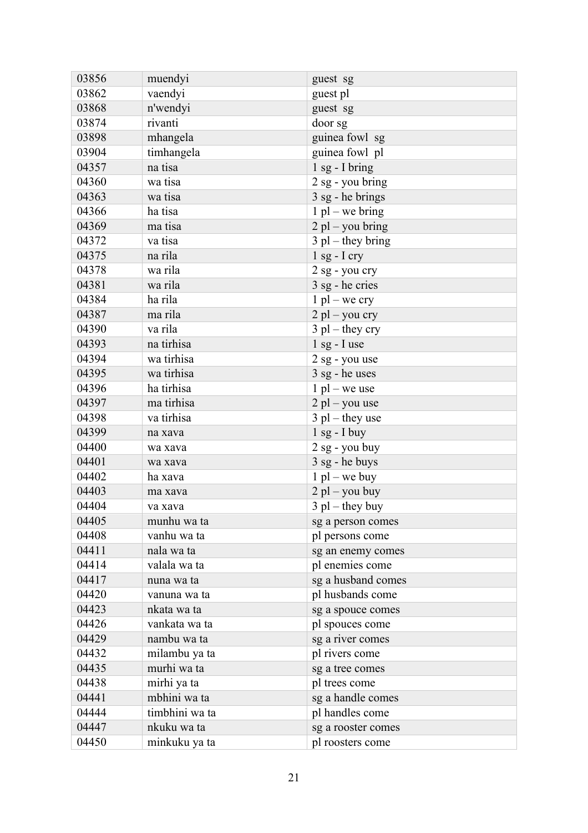| 03856 | muendyi        | guest sg            |
|-------|----------------|---------------------|
| 03862 | vaendyi        | guest pl            |
| 03868 | n'wendyi       | guest sg            |
| 03874 | rivanti        | door sg             |
| 03898 | mhangela       | guinea fowl sg      |
| 03904 | timhangela     | guinea fowl pl      |
| 04357 | na tisa        | $1$ sg - I bring    |
| 04360 | wa tisa        | 2 sg - you bring    |
| 04363 | wa tisa        | 3 sg - he brings    |
| 04366 | ha tisa        | $1$ pl – we bring   |
| 04369 | ma tisa        | $2$ pl – you bring  |
| 04372 | va tisa        | $3$ pl – they bring |
| 04375 | na rila        | $1$ sg - I cry      |
| 04378 | wa rila        | 2 sg - you cry      |
| 04381 | wa rila        | 3 sg - he cries     |
| 04384 | ha rila        | $1$ pl – we cry     |
| 04387 | ma rila        | $2$ pl – you cry    |
| 04390 | va rila        | $3$ pl – they cry   |
| 04393 | na tirhisa     | $1$ sg - I use      |
| 04394 | wa tirhisa     | 2 sg - you use      |
| 04395 | wa tirhisa     | $3$ sg - he uses    |
| 04396 | ha tirhisa     | $1$ pl – we use     |
| 04397 | ma tirhisa     | $2$ pl – you use    |
| 04398 | va tirhisa     | $3$ pl – they use   |
| 04399 | na xava        | $1$ sg - $I$ buy    |
| 04400 | wa xava        | $2$ sg - you buy    |
| 04401 | wa xava        | 3 sg - he buys      |
| 04402 | ha xava        | $1$ pl – we buy     |
| 04403 | ma xava        | $2$ pl – you buy    |
| 04404 | va xava        | $3$ pl – they buy   |
| 04405 | munhu wa ta    | sg a person comes   |
| 04408 | vanhu wa ta    | pl persons come     |
| 04411 | nala wa ta     | sg an enemy comes   |
| 04414 | valala wa ta   | pl enemies come     |
| 04417 | nuna wa ta     | sg a husband comes  |
| 04420 | vanuna wa ta   | pl husbands come    |
| 04423 | nkata wa ta    | sg a spouce comes   |
| 04426 | vankata wa ta  | pl spouces come     |
| 04429 | nambu wa ta    | sg a river comes    |
| 04432 | milambu ya ta  | pl rivers come      |
| 04435 | murhi wa ta    | sg a tree comes     |
| 04438 | mirhi ya ta    | pl trees come       |
| 04441 | mbhini wa ta   | sg a handle comes   |
| 04444 | timbhini wa ta | pl handles come     |
| 04447 | nkuku wa ta    | sg a rooster comes  |
| 04450 | minkuku ya ta  | pl roosters come    |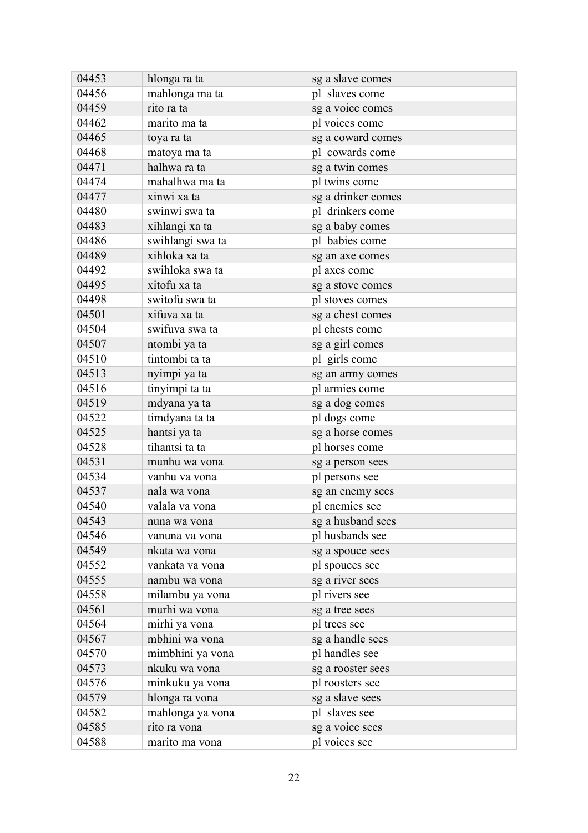| 04453 | hlonga ra ta     | sg a slave comes   |
|-------|------------------|--------------------|
| 04456 | mahlonga ma ta   | pl slaves come     |
| 04459 | rito ra ta       | sg a voice comes   |
| 04462 | marito ma ta     | pl voices come     |
| 04465 | toya ra ta       | sg a coward comes  |
| 04468 | matoya ma ta     | pl cowards come    |
| 04471 | halhwa ra ta     | sg a twin comes    |
| 04474 | mahalhwa ma ta   | pl twins come      |
| 04477 | xinwi xa ta      | sg a drinker comes |
| 04480 | swinwi swa ta    | pl drinkers come   |
| 04483 | xihlangi xa ta   | sg a baby comes    |
| 04486 | swihlangi swa ta | pl babies come     |
| 04489 | xihloka xa ta    | sg an axe comes    |
| 04492 | swihloka swa ta  | pl axes come       |
| 04495 | xitofu xa ta     | sg a stove comes   |
| 04498 | switofu swa ta   | pl stoves comes    |
| 04501 | xifuva xa ta     | sg a chest comes   |
| 04504 | swifuva swa ta   | pl chests come     |
| 04507 | ntombi ya ta     | sg a girl comes    |
| 04510 | tintombi ta ta   | pl girls come      |
| 04513 | nyimpi ya ta     | sg an army comes   |
| 04516 | tinyimpi ta ta   | pl armies come     |
| 04519 | mdyana ya ta     | sg a dog comes     |
| 04522 | timdyana ta ta   | pl dogs come       |
| 04525 | hantsi ya ta     | sg a horse comes   |
| 04528 | tihantsi ta ta   | pl horses come     |
| 04531 | munhu wa vona    | sg a person sees   |
| 04534 | vanhu va vona    | pl persons see     |
| 04537 | nala wa vona     | sg an enemy sees   |
| 04540 | valala va vona   | pl enemies see     |
| 04543 | nuna wa vona     | sg a husband sees  |
| 04546 | vanuna va vona   | pl husbands see    |
| 04549 | nkata wa vona    | sg a spouce sees   |
| 04552 | vankata va vona  | pl spouces see     |
| 04555 | nambu wa vona    | sg a river sees    |
| 04558 | milambu ya vona  | pl rivers see      |
| 04561 | murhi wa vona    | sg a tree sees     |
| 04564 | mirhi ya vona    | pl trees see       |
| 04567 | mbhini wa vona   | sg a handle sees   |
| 04570 | mimbhini ya vona | pl handles see     |
| 04573 | nkuku wa vona    | sg a rooster sees  |
| 04576 | minkuku ya vona  | pl roosters see    |
| 04579 | hlonga ra vona   | sg a slave sees    |
| 04582 | mahlonga ya vona | pl slaves see      |
| 04585 | rito ra vona     | sg a voice sees    |
| 04588 | marito ma vona   | pl voices see      |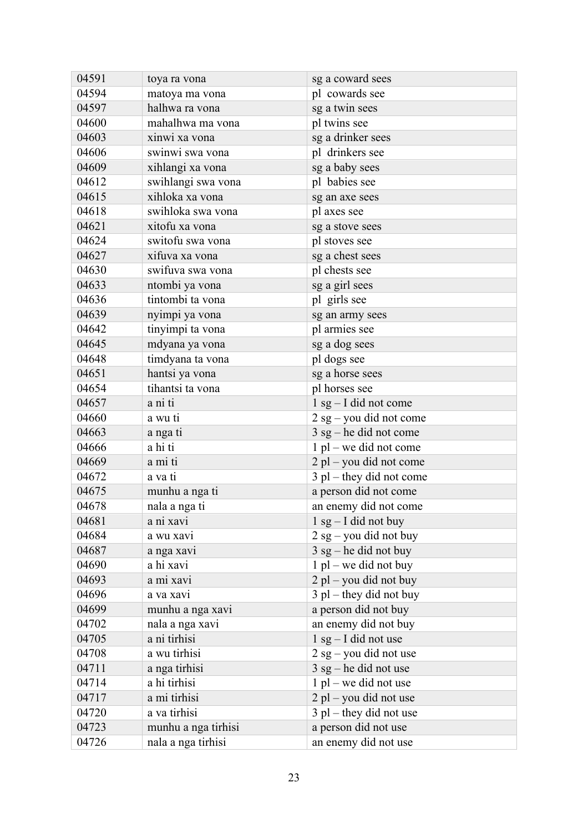| 04591 | toya ra vona        | sg a coward sees           |
|-------|---------------------|----------------------------|
| 04594 | matoya ma vona      | pl cowards see             |
| 04597 | halhwa ra vona      | sg a twin sees             |
| 04600 | mahalhwa ma vona    | pl twins see               |
| 04603 | xinwi xa vona       | sg a drinker sees          |
| 04606 | swinwi swa vona     | pl drinkers see            |
| 04609 | xihlangi xa vona    | sg a baby sees             |
| 04612 | swihlangi swa vona  | pl babies see              |
| 04615 | xihloka xa vona     | sg an axe sees             |
| 04618 | swihloka swa vona   | pl axes see                |
| 04621 | xitofu xa vona      | sg a stove sees            |
| 04624 | switofu swa vona    | pl stoves see              |
| 04627 | xifuva xa vona      | sg a chest sees            |
| 04630 | swifuva swa vona    | pl chests see              |
| 04633 | ntombi ya vona      | sg a girl sees             |
| 04636 | tintombi ta vona    | pl girls see               |
| 04639 | nyimpi ya vona      | sg an army sees            |
| 04642 | tinyimpi ta vona    | pl armies see              |
| 04645 | mdyana ya vona      | sg a dog sees              |
| 04648 | timdyana ta vona    | pl dogs see                |
| 04651 | hantsi ya vona      | sg a horse sees            |
| 04654 | tihantsi ta vona    | pl horses see              |
| 04657 | a ni ti             | $1$ sg $-$ I did not come  |
| 04660 | a wu ti             | $2$ sg – you did not come  |
| 04663 | a nga ti            | $3$ sg – he did not come   |
| 04666 | a hi ti             | $1$ pl – we did not come   |
| 04669 | a mi ti             | 2 pl – you did not come    |
| 04672 | a va ti             | $3$ pl – they did not come |
| 04675 | munhu a nga ti      | a person did not come      |
| 04678 | nala a nga ti       | an enemy did not come      |
| 04681 | a ni xavi           | $1$ sg $-$ I did not buy   |
| 04684 | a wu xavi           | $2$ sg – you did not buy   |
| 04687 | a nga xavi          | $3$ sg – he did not buy    |
| 04690 | a hi xavi           | $1$ pl – we did not buy    |
| 04693 | a mi xavi           | $2$ pl – you did not buy   |
| 04696 | a va xavi           | $3$ pl – they did not buy  |
| 04699 | munhu a nga xavi    | a person did not buy       |
| 04702 | nala a nga xavi     | an enemy did not buy       |
| 04705 | a ni tirhisi        | $1$ sg $-$ I did not use   |
| 04708 | a wu tirhisi        | $2$ sg – you did not use   |
| 04711 | a nga tirhisi       | $3$ sg – he did not use    |
| 04714 | a hi tirhisi        | $1$ pl – we did not use    |
| 04717 | a mi tirhisi        | $2$ pl – you did not use   |
| 04720 | a va tirhisi        | $3$ pl – they did not use  |
| 04723 | munhu a nga tirhisi | a person did not use       |
| 04726 | nala a nga tirhisi  | an enemy did not use       |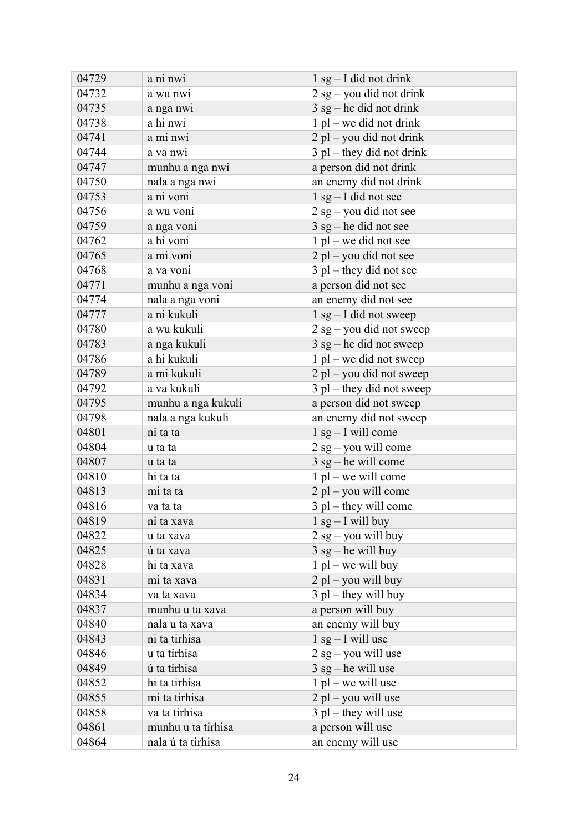| 04729 | a ni nwi           | $1$ sg – I did not drink    |
|-------|--------------------|-----------------------------|
| 04732 | a wu nwi           | $2$ sg – you did not drink  |
| 04735 | a nga nwi          | $3$ sg – he did not drink   |
| 04738 | a hi nwi           | $1$ pl – we did not drink   |
| 04741 | a mi nwi           | 2 pl – you did not drink    |
| 04744 | a va nwi           | $3$ pl – they did not drink |
| 04747 | munhu a nga nwi    | a person did not drink      |
| 04750 | nala a nga nwi     | an enemy did not drink      |
| 04753 | a ni voni          | $1$ sg – I did not see      |
| 04756 | a wu voni          | $2$ sg – you did not see    |
| 04759 | a nga voni         | $3$ sg – he did not see     |
| 04762 | a hi voni          | $1$ pl – we did not see     |
| 04765 | a mi voni          | 2 pl – you did not see      |
| 04768 | a va voni          | $3$ pl – they did not see   |
| 04771 | munhu a nga voni   | a person did not see        |
| 04774 | nala a nga voni    | an enemy did not see        |
| 04777 | a ni kukuli        | $1$ sg – I did not sweep    |
| 04780 | a wu kukuli        | $2$ sg – you did not sweep  |
| 04783 | a nga kukuli       | $3$ sg – he did not sweep   |
| 04786 | a hi kukuli        | $1$ pl – we did not sweep   |
| 04789 | a mi kukuli        | 2 pl – you did not sweep    |
| 04792 | a va kukuli        | $3$ pl – they did not sweep |
| 04795 | munhu a nga kukuli | a person did not sweep      |
| 04798 | nala a nga kukuli  | an enemy did not sweep      |
| 04801 | ni ta ta           | $1$ sg - I will come        |
| 04804 | u ta ta            | $2$ sg – you will come      |
| 04807 | u ta ta            | $3$ sg – he will come       |
| 04810 | hi ta ta           | $1$ pl – we will come       |
| 04813 | mi ta ta           | $2$ pl – you will come      |
| 04816 | va ta ta           | $3$ pl – they will come     |
| 04819 | ni ta xava         | $1$ sg - I will buy         |
| 04822 | u ta xava          | $2$ sg – you will buy       |
| 04825 | ú ta xava          | $3$ sg – he will buy        |
| 04828 | hi ta xava         | $1$ pl – we will buy        |
| 04831 | mi ta xava         | $2$ pl – you will buy       |
| 04834 | va ta xava         | $3$ pl – they will buy      |
| 04837 | munhu u ta xava    | a person will buy           |
| 04840 | nala u ta xava     | an enemy will buy           |
| 04843 | ni ta tirhisa      | $1$ sg $-$ I will use       |
| 04846 | u ta tirhisa       | $2$ sg – you will use       |
| 04849 | ú ta tirhisa       | $3$ sg – he will use        |
| 04852 | hi ta tirhisa      | $1$ pl – we will use        |
| 04855 | mi ta tirhisa      | $2$ pl – you will use       |
| 04858 | va ta tirhisa      | $3$ pl – they will use      |
| 04861 | munhu u ta tirhisa | a person will use           |
| 04864 | nala ú ta tirhisa  | an enemy will use           |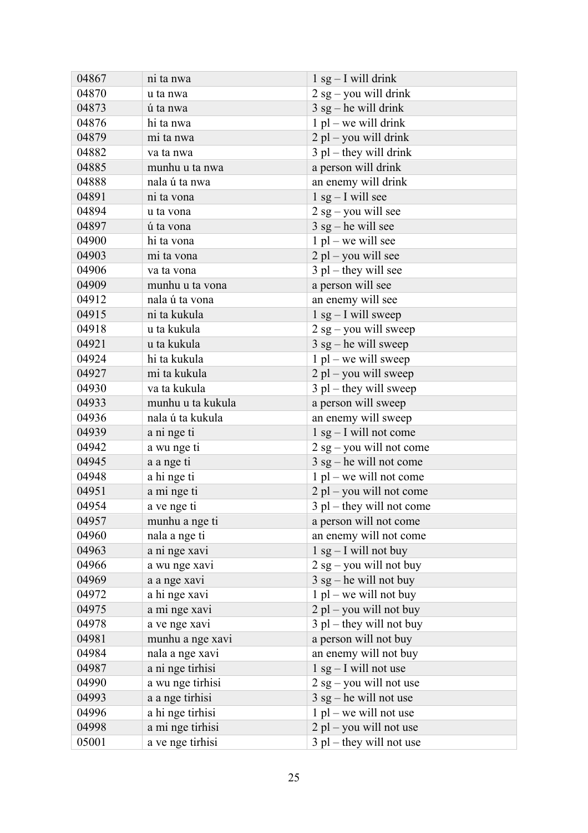| 04867 | ni ta nwa         | $1$ sg - I will drink       |
|-------|-------------------|-----------------------------|
| 04870 | u ta nwa          | $2$ sg – you will drink     |
| 04873 | ú ta nwa          | $3$ sg – he will drink      |
| 04876 | hi ta nwa         | $1$ pl – we will drink      |
| 04879 | mi ta nwa         | $2$ pl – you will drink     |
| 04882 | va ta nwa         | $3$ pl – they will drink    |
| 04885 | munhu u ta nwa    | a person will drink         |
| 04888 | nala ú ta nwa     | an enemy will drink         |
| 04891 | ni ta vona        | $1$ sg – I will see         |
| 04894 | u ta vona         | $2$ sg – you will see       |
| 04897 | ú ta vona         | $3$ sg – he will see        |
| 04900 | hi ta vona        | $1$ pl – we will see        |
| 04903 | mi ta vona        | $2$ pl – you will see       |
| 04906 | va ta vona        | $3$ pl – they will see      |
| 04909 | munhu u ta vona   | a person will see           |
| 04912 | nala ú ta vona    | an enemy will see           |
| 04915 | ni ta kukula      | $1$ sg – I will sweep       |
| 04918 | u ta kukula       | $2$ sg – you will sweep     |
| 04921 | u ta kukula       | $3$ sg – he will sweep      |
| 04924 | hi ta kukula      | $1$ pl – we will sweep      |
| 04927 | mi ta kukula      | $2$ pl – you will sweep     |
| 04930 | va ta kukula      | $3$ pl – they will sweep    |
| 04933 | munhu u ta kukula | a person will sweep         |
| 04936 | nala ú ta kukula  | an enemy will sweep         |
| 04939 | a ni nge ti       | $1$ sg - I will not come    |
| 04942 | a wu nge ti       | $2$ sg – you will not come  |
| 04945 | a a nge ti        | $3$ sg – he will not come   |
| 04948 | a hi nge ti       | $1$ pl – we will not come   |
| 04951 | a mi nge ti       | $2$ pl – you will not come  |
| 04954 | a ve nge ti       | $3$ pl – they will not come |
| 04957 | munhu a nge ti    | a person will not come      |
| 04960 | nala a nge ti     | an enemy will not come      |
| 04963 | a ni nge xavi     | $1$ sg $-$ I will not buy   |
| 04966 | a wu nge xavi     | $2$ sg – you will not buy   |
| 04969 | a a nge xavi      | $3$ sg – he will not buy    |
| 04972 | a hi nge xavi     | $1$ pl – we will not buy    |
| 04975 | a mi nge xavi     | $2$ pl – you will not buy   |
| 04978 | a ve nge xavi     | $3$ pl – they will not buy  |
| 04981 | munhu a nge xavi  | a person will not buy       |
| 04984 | nala a nge xavi   | an enemy will not buy       |
| 04987 | a ni nge tirhisi  | $1$ sg $-$ I will not use   |
| 04990 | a wu nge tirhisi  | $2$ sg – you will not use   |
| 04993 | a a nge tirhisi   | $3$ sg – he will not use    |
| 04996 | a hi nge tirhisi  | $1$ pl – we will not use    |
| 04998 | a mi nge tirhisi  | $2$ pl – you will not use   |
| 05001 | a ve nge tirhisi  | $3$ pl – they will not use  |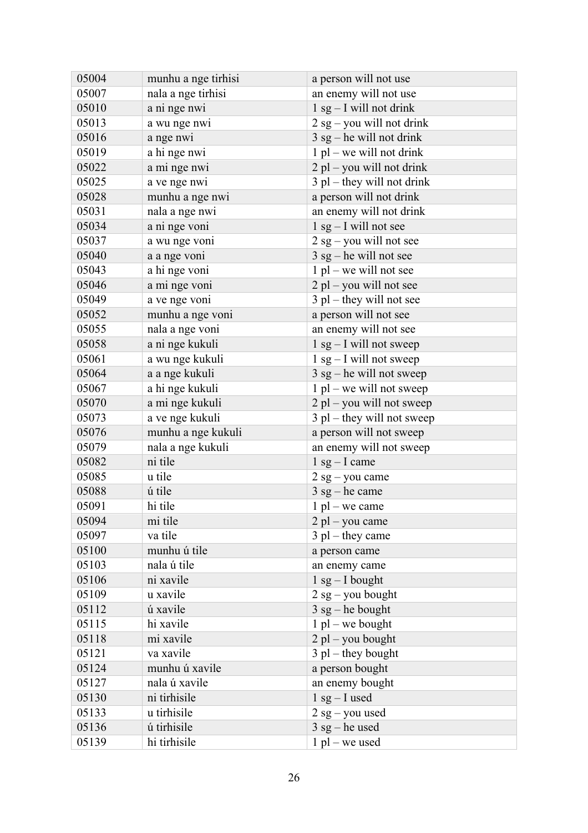| 05004 | munhu a nge tirhisi | a person will not use        |
|-------|---------------------|------------------------------|
| 05007 | nala a nge tirhisi  | an enemy will not use        |
| 05010 | a ni nge nwi        | $1$ sg $-$ I will not drink  |
| 05013 | a wu nge nwi        | $2$ sg – you will not drink  |
| 05016 | a nge nwi           | $3$ sg – he will not drink   |
| 05019 | a hi nge nwi        | $1$ pl – we will not drink   |
| 05022 | a mi nge nwi        | $2$ pl – you will not drink  |
| 05025 | a ve nge nwi        | $3$ pl – they will not drink |
| 05028 | munhu a nge nwi     | a person will not drink      |
| 05031 | nala a nge nwi      | an enemy will not drink      |
| 05034 | a ni nge voni       | $1$ sg $-$ I will not see    |
| 05037 | a wu nge voni       | $2$ sg – you will not see    |
| 05040 | a a nge voni        | $3$ sg – he will not see     |
| 05043 | a hi nge voni       | $1$ pl – we will not see     |
| 05046 | a mi nge voni       | $2$ pl – you will not see    |
| 05049 | a ve nge voni       | $3$ pl – they will not see   |
| 05052 | munhu a nge voni    | a person will not see        |
| 05055 | nala a nge voni     | an enemy will not see        |
| 05058 | a ni nge kukuli     | $1$ sg – I will not sweep    |
| 05061 | a wu nge kukuli     | $1$ sg – I will not sweep    |
| 05064 | a a nge kukuli      | $3$ sg – he will not sweep   |
| 05067 | a hi nge kukuli     | $1$ pl – we will not sweep   |
| 05070 | a mi nge kukuli     | $2$ pl – you will not sweep  |
| 05073 | a ve nge kukuli     | $3$ pl – they will not sweep |
| 05076 | munhu a nge kukuli  | a person will not sweep      |
| 05079 | nala a nge kukuli   | an enemy will not sweep      |
| 05082 | ni tile             | $1$ sg – I came              |
| 05085 | u tile              | $2$ sg - you came            |
| 05088 | ú tile              | $3$ sg – he came             |
| 05091 | hi tile             | $1$ pl – we came             |
| 05094 | mi tile             | $2$ pl – you came            |
| 05097 | va tile             | $3$ pl – they came           |
| 05100 | munhu ú tile        | a person came                |
| 05103 | nala ú tile         | an enemy came                |
| 05106 | ni xavile           | $1$ sg $-$ I bought          |
| 05109 | u xavile            | $2$ sg – you bought          |
| 05112 | ú xavile            | $3$ sg – he bought           |
| 05115 | hi xavile           | $1$ pl – we bought           |
| 05118 | mi xavile           | $2$ pl – you bought          |
| 05121 | va xavile           | $3$ pl – they bought         |
| 05124 | munhu ú xavile      | a person bought              |
| 05127 | nala ú xavile       | an enemy bought              |
| 05130 | ni tirhisile        | $1$ sg – I used              |
| 05133 | u tirhisile         | $2$ sg – you used            |
| 05136 | ú tirhisile         | $3$ sg – he used             |
| 05139 | hi tirhisile        | $1$ pl – we used             |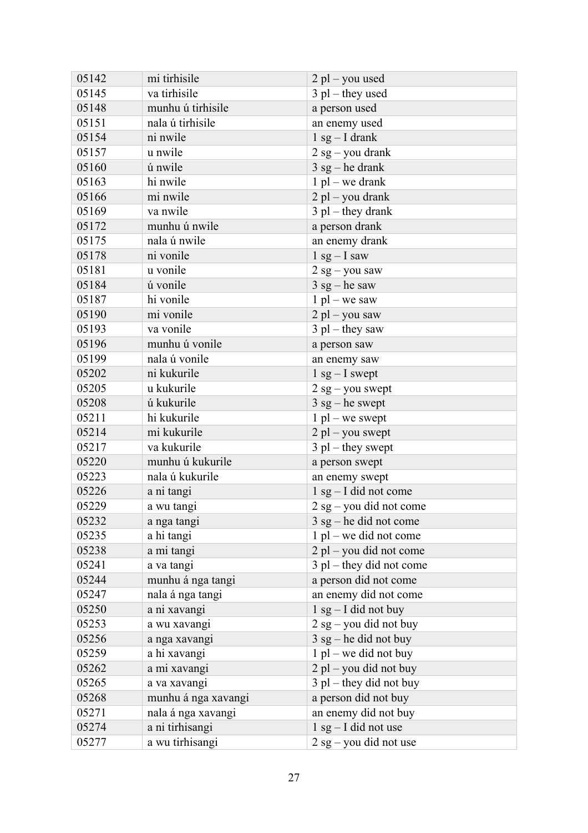| 05142 | mi tirhisile        | $2$ pl – you used          |
|-------|---------------------|----------------------------|
| 05145 | va tirhisile        | $3$ pl – they used         |
| 05148 | munhu ú tirhisile   | a person used              |
| 05151 | nala ú tirhisile    | an enemy used              |
| 05154 | ni nwile            | $1$ sg – I drank           |
| 05157 | u nwile             | $2$ sg – you drank         |
| 05160 | ú nwile             | $3$ sg – he drank          |
| 05163 | hi nwile            | $1$ pl – we drank          |
| 05166 | mi nwile            | $2$ pl – you drank         |
| 05169 | va nwile            | $3$ pl – they drank        |
| 05172 | munhu ú nwile       | a person drank             |
| 05175 | nala ú nwile        | an enemy drank             |
| 05178 | ni vonile           | $1$ sg $-$ I saw           |
| 05181 | u vonile            | $2$ sg – you saw           |
| 05184 | ú vonile            | $3$ sg – he saw            |
| 05187 | hi vonile           | $1$ pl – we saw            |
| 05190 | mi vonile           | $2$ pl – you saw           |
| 05193 | va vonile           | $3$ pl – they saw          |
| 05196 | munhu ú vonile      | a person saw               |
| 05199 | nala ú vonile       | an enemy saw               |
| 05202 | ni kukurile         | $1$ sg $-$ I swept         |
| 05205 | u kukurile          | $2$ sg – you swept         |
| 05208 | ú kukurile          | $3$ sg – he swept          |
| 05211 | hi kukurile         | $1$ pl – we swept          |
| 05214 | mi kukurile         | $2$ pl – you swept         |
| 05217 | va kukurile         | $3$ pl – they swept        |
| 05220 | munhu ú kukurile    | a person swept             |
| 05223 | nala ú kukurile     | an enemy swept             |
| 05226 | a ni tangi          | $1$ sg $-$ I did not come  |
| 05229 | a wu tangi          | $2$ sg – you did not come  |
| 05232 | a nga tangi         | $3$ sg – he did not come   |
| 05235 | a hi tangi          | $1$ pl – we did not come   |
| 05238 | a mi tangi          | 2 pl - you did not come    |
| 05241 | a va tangi          | $3$ pl – they did not come |
| 05244 | munhu á nga tangi   | a person did not come      |
| 05247 | nala á nga tangi    | an enemy did not come      |
| 05250 | a ni xavangi        | $1$ sg - I did not buy     |
| 05253 | a wu xavangi        | $2$ sg – you did not buy   |
| 05256 | a nga xavangi       | $3$ sg – he did not buy    |
| 05259 | a hi xavangi        | $1$ pl – we did not buy    |
| 05262 | a mi xavangi        | $2$ pl – you did not buy   |
| 05265 | a va xavangi        | $3$ pl – they did not buy  |
| 05268 | munhu á nga xavangi | a person did not buy       |
| 05271 | nala á nga xavangi  | an enemy did not buy       |
| 05274 | a ni tirhisangi     | $1$ sg $-$ I did not use   |
| 05277 | a wu tirhisangi     | $2$ sg – you did not use   |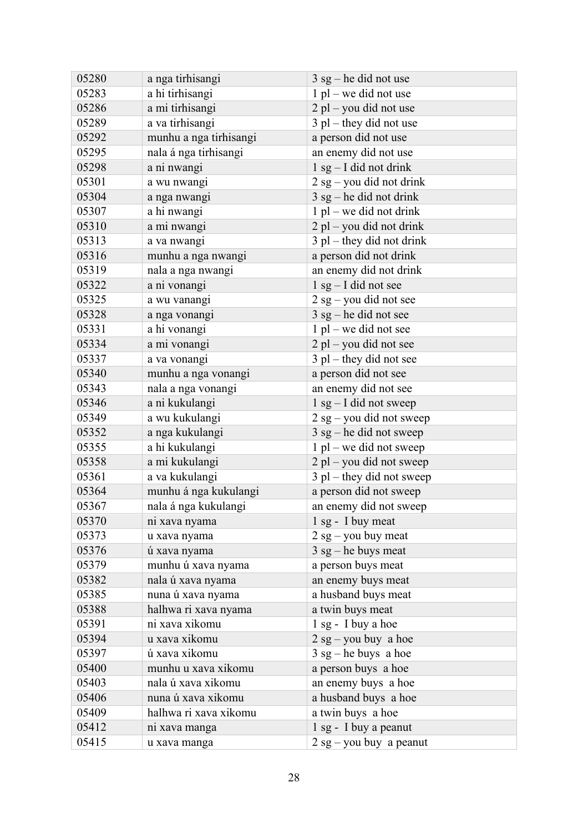| 05280 | a nga tirhisangi       | $3$ sg – he did not use     |
|-------|------------------------|-----------------------------|
| 05283 | a hi tirhisangi        | $1$ pl – we did not use     |
| 05286 | a mi tirhisangi        | $2$ pl – you did not use    |
| 05289 | a va tirhisangi        | $3$ pl – they did not use   |
| 05292 | munhu a nga tirhisangi | a person did not use        |
| 05295 | nala á nga tirhisangi  | an enemy did not use        |
| 05298 | a ni nwangi            | $1$ sg $-$ I did not drink  |
| 05301 | a wu nwangi            | $2$ sg – you did not drink  |
| 05304 | a nga nwangi           | $3$ sg – he did not drink   |
| 05307 | a hi nwangi            | $1$ pl – we did not drink   |
| 05310 | a mi nwangi            | 2 pl – you did not drink    |
| 05313 | a va nwangi            | $3$ pl – they did not drink |
| 05316 | munhu a nga nwangi     | a person did not drink      |
| 05319 | nala a nga nwangi      | an enemy did not drink      |
| 05322 | a ni vonangi           | $1$ sg $-$ I did not see    |
| 05325 | a wu vanangi           | $2$ sg – you did not see    |
| 05328 | a nga vonangi          | $3$ sg – he did not see     |
| 05331 | a hi vonangi           | $1$ pl – we did not see     |
| 05334 | a mi vonangi           | 2 pl – you did not see      |
| 05337 | a va vonangi           | $3$ pl – they did not see   |
| 05340 | munhu a nga vonangi    | a person did not see        |
| 05343 | nala a nga vonangi     | an enemy did not see        |
| 05346 | a ni kukulangi         | $1$ sg $-$ I did not sweep  |
| 05349 | a wu kukulangi         | 2 sg - you did not sweep    |
| 05352 | a nga kukulangi        | $3$ sg – he did not sweep   |
| 05355 | a hi kukulangi         | $1$ pl – we did not sweep   |
| 05358 | a mi kukulangi         | 2 pl – you did not sweep    |
| 05361 | a va kukulangi         | 3 pl - they did not sweep   |
| 05364 | munhu á nga kukulangi  | a person did not sweep      |
| 05367 | nala á nga kukulangi   | an enemy did not sweep      |
| 05370 | ni xava nyama          | 1 sg - I buy meat           |
| 05373 | u xava nyama           | $2$ sg – you buy meat       |
| 05376 | ú xava nyama           | $3$ sg – he buys meat       |
| 05379 | munhu ú xava nyama     | a person buys meat          |
| 05382 | nala ú xava nyama      | an enemy buys meat          |
| 05385 | nuna ú xava nyama      | a husband buys meat         |
| 05388 | halhwa ri xava nyama   | a twin buys meat            |
| 05391 | ni xava xikomu         | 1 sg - I buy a hoe          |
| 05394 | u xava xikomu          | $2$ sg – you buy a hoe      |
| 05397 | ú xava xikomu          | $3$ sg – he buys a hoe      |
| 05400 | munhu u xava xikomu    | a person buys a hoe         |
| 05403 | nala ú xava xikomu     | an enemy buys a hoe         |
| 05406 | nuna ú xava xikomu     | a husband buys a hoe        |
| 05409 | halhwa ri xava xikomu  | a twin buys a hoe           |
| 05412 | ni xava manga          | 1 sg - I buy a peanut       |
| 05415 | u xava manga           | $2$ sg - you buy a peanut   |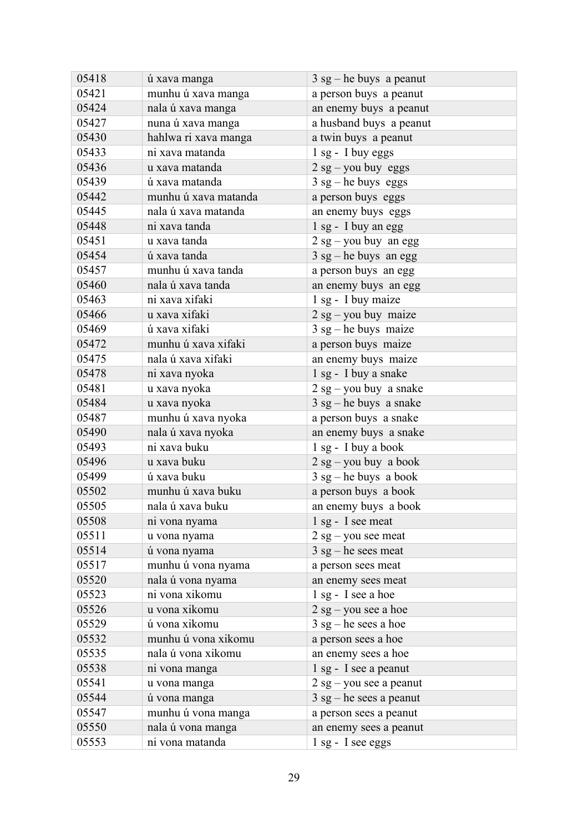| 05418 | ú xava manga         | $3$ sg – he buys a peanut |
|-------|----------------------|---------------------------|
| 05421 | munhu ú xava manga   | a person buys a peanut    |
| 05424 | nala ú xava manga    | an enemy buys a peanut    |
| 05427 | nuna ú xava manga    | a husband buys a peanut   |
| 05430 | hahlwa ri xava manga | a twin buys a peanut      |
| 05433 | ni xava matanda      | 1 sg - I buy eggs         |
| 05436 | u xava matanda       | $2$ sg – you buy eggs     |
| 05439 | ú xava matanda       | $3$ sg – he buys eggs     |
| 05442 | munhu ú xava matanda | a person buys eggs        |
| 05445 | nala ú xava matanda  | an enemy buys eggs        |
| 05448 | ni xava tanda        | 1 sg - I buy an egg       |
| 05451 | u xava tanda         | $2$ sg – you buy an egg   |
| 05454 | ú xava tanda         | $3$ sg – he buys an egg   |
| 05457 | munhu ú xava tanda   | a person buys an egg      |
| 05460 | nala ú xava tanda    | an enemy buys an egg      |
| 05463 | ni xava xifaki       | 1 sg - I buy maize        |
| 05466 | u xava xifaki        | $2$ sg – you buy maize    |
| 05469 | ú xava xifaki        | $3$ sg – he buys maize    |
| 05472 | munhu ú xava xifaki  | a person buys maize       |
| 05475 | nala ú xava xifaki   | an enemy buys maize       |
| 05478 | ni xava nyoka        | 1 sg - I buy a snake      |
| 05481 | u xava nyoka         | $2$ sg – you buy a snake  |
| 05484 | u xava nyoka         | $3$ sg – he buys a snake  |
| 05487 | munhu ú xava nyoka   | a person buys a snake     |
| 05490 | nala ú xava nyoka    | an enemy buys a snake     |
| 05493 | ni xava buku         | 1 sg - I buy a book       |
| 05496 | u xava buku          | $2$ sg – you buy a book   |
| 05499 | ú xava buku          | $3$ sg – he buys a book   |
| 05502 | munhu ú xava buku    | a person buys a book      |
| 05505 | nala ú xava buku     | an enemy buys a book      |
| 05508 | ni vona nyama        | 1 sg - I see meat         |
| 05511 | u vona nyama         | $2$ sg – you see meat     |
| 05514 | ú vona nyama         | $3$ sg – he sees meat     |
| 05517 | munhu ú vona nyama   | a person sees meat        |
| 05520 | nala ú vona nyama    | an enemy sees meat        |
| 05523 | ni vona xikomu       | 1 sg - I see a hoe        |
| 05526 | u vona xikomu        | $2$ sg – you see a hoe    |
| 05529 | ú vona xikomu        | $3$ sg – he sees a hoe    |
| 05532 | munhu ú vona xikomu  | a person sees a hoe       |
| 05535 | nala ú vona xikomu   | an enemy sees a hoe       |
| 05538 | ni vona manga        | 1 sg - I see a peanut     |
| 05541 | u vona manga         | $2$ sg – you see a peanut |
| 05544 | ú vona manga         | $3$ sg – he sees a peanut |
| 05547 | munhu ú vona manga   | a person sees a peanut    |
| 05550 | nala ú vona manga    | an enemy sees a peanut    |
| 05553 | ni vona matanda      | 1 sg - I see eggs         |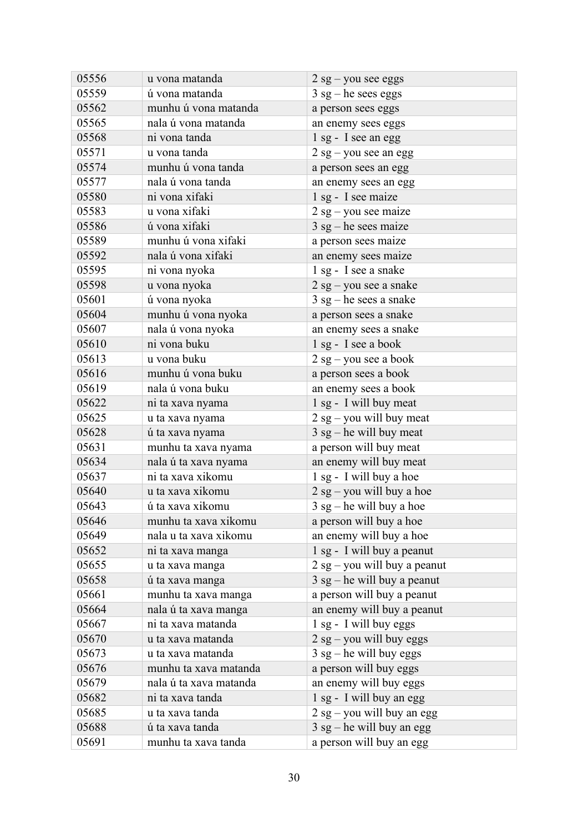| 05556 | u vona matanda         | $2$ sg – you see eggs         |
|-------|------------------------|-------------------------------|
| 05559 | ú vona matanda         | $3$ sg – he sees eggs         |
| 05562 | munhu ú vona matanda   | a person sees eggs            |
| 05565 | nala ú vona matanda    | an enemy sees eggs            |
| 05568 | ni vona tanda          | 1 sg - I see an egg           |
| 05571 | u vona tanda           | $2$ sg – you see an egg       |
| 05574 | munhu ú vona tanda     | a person sees an egg          |
| 05577 | nala ú vona tanda      | an enemy sees an egg          |
| 05580 | ni vona xifaki         | 1 sg - I see maize            |
| 05583 | u vona xifaki          | $2$ sg – you see maize        |
| 05586 | ú vona xifaki          | $3$ sg – he sees maize        |
| 05589 | munhu ú vona xifaki    | a person sees maize           |
| 05592 | nala ú vona xifaki     | an enemy sees maize           |
| 05595 | ni vona nyoka          | 1 sg - I see a snake          |
| 05598 | u vona nyoka           | $2$ sg – you see a snake      |
| 05601 | ú vona nyoka           | $3$ sg – he sees a snake      |
| 05604 | munhu ú vona nyoka     | a person sees a snake         |
| 05607 | nala ú vona nyoka      | an enemy sees a snake         |
| 05610 | ni vona buku           | 1 sg - I see a book           |
| 05613 | u vona buku            | $2$ sg – you see a book       |
| 05616 | munhu ú vona buku      | a person sees a book          |
| 05619 | nala ú vona buku       | an enemy sees a book          |
| 05622 | ni ta xava nyama       | 1 sg - I will buy meat        |
| 05625 | u ta xava nyama        | $2$ sg – you will buy meat    |
| 05628 | ú ta xava nyama        | $3$ sg – he will buy meat     |
| 05631 | munhu ta xava nyama    | a person will buy meat        |
| 05634 | nala ú ta xava nyama   | an enemy will buy meat        |
| 05637 | ni ta xava xikomu      | 1 sg - I will buy a hoe       |
| 05640 | u ta xava xikomu       | $2$ sg – you will buy a hoe   |
| 05643 | ú ta xava xikomu       | $3$ sg – he will buy a hoe    |
| 05646 | munhu ta xava xikomu   | a person will buy a hoe       |
| 05649 | nala u ta xava xikomu  | an enemy will buy a hoe       |
| 05652 | ni ta xava manga       | 1 sg - I will buy a peanut    |
| 05655 | u ta xava manga        | 2 sg - you will buy a peanut  |
| 05658 | ú ta xava manga        | $3$ sg – he will buy a peanut |
| 05661 | munhu ta xava manga    | a person will buy a peanut    |
| 05664 | nala ú ta xava manga   | an enemy will buy a peanut    |
| 05667 | ni ta xava matanda     | $1$ sg - I will buy eggs      |
| 05670 | u ta xava matanda      | $2$ sg – you will buy eggs    |
| 05673 | u ta xava matanda      | $3$ sg – he will buy eggs     |
| 05676 | munhu ta xava matanda  | a person will buy eggs        |
| 05679 | nala ú ta xava matanda | an enemy will buy eggs        |
| 05682 | ni ta xava tanda       | 1 sg - I will buy an egg      |
| 05685 | u ta xava tanda        | $2$ sg – you will buy an egg  |
| 05688 | ú ta xava tanda        | $3$ sg – he will buy an egg   |
| 05691 | munhu ta xava tanda    | a person will buy an egg      |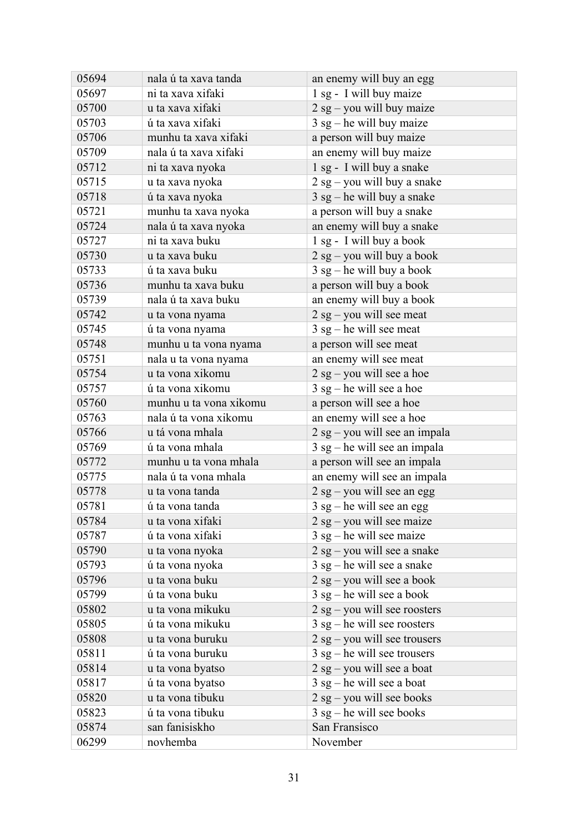| 05694 | nala ú ta xava tanda   | an enemy will buy an egg       |
|-------|------------------------|--------------------------------|
| 05697 | ni ta xava xifaki      | 1 sg - I will buy maize        |
| 05700 | u ta xava xifaki       | $2$ sg – you will buy maize    |
| 05703 | ú ta xava xifaki       | $3$ sg – he will buy maize     |
| 05706 | munhu ta xava xifaki   | a person will buy maize        |
| 05709 | nala ú ta xava xifaki  | an enemy will buy maize        |
| 05712 | ni ta xava nyoka       | 1 sg - I will buy a snake      |
| 05715 | u ta xava nyoka        | $2$ sg – you will buy a snake  |
| 05718 | ú ta xava nyoka        | $3$ sg – he will buy a snake   |
| 05721 | munhu ta xava nyoka    | a person will buy a snake      |
| 05724 | nala ú ta xava nyoka   | an enemy will buy a snake      |
| 05727 | ni ta xava buku        | 1 sg - I will buy a book       |
| 05730 | u ta xava buku         | $2$ sg – you will buy a book   |
| 05733 | ú ta xava buku         | $3$ sg – he will buy a book    |
| 05736 | munhu ta xava buku     | a person will buy a book       |
| 05739 | nala ú ta xava buku    | an enemy will buy a book       |
| 05742 | u ta vona nyama        | $2$ sg – you will see meat     |
| 05745 | ú ta vona nyama        | $3$ sg – he will see meat      |
| 05748 | munhu u ta vona nyama  | a person will see meat         |
| 05751 | nala u ta vona nyama   | an enemy will see meat         |
| 05754 | u ta vona xikomu       | $2$ sg – you will see a hoe    |
| 05757 | ú ta vona xikomu       | $3$ sg – he will see a hoe     |
| 05760 | munhu u ta vona xikomu | a person will see a hoe        |
| 05763 | nala ú ta vona xikomu  | an enemy will see a hoe        |
| 05766 | u tá vona mhala        | 2 sg – you will see an impala  |
| 05769 | ú ta vona mhala        | $3$ sg – he will see an impala |
| 05772 | munhu u ta vona mhala  | a person will see an impala    |
| 05775 | nala ú ta vona mhala   | an enemy will see an impala    |
| 05778 | u ta vona tanda        | $2$ sg – you will see an egg   |
| 05781 | ú ta vona tanda        | $3$ sg – he will see an egg    |
| 05784 | u ta vona xifaki       | $2$ sg – you will see maize    |
| 05787 | ú ta vona xifaki       | $3$ sg – he will see maize     |
| 05790 | u ta vona nyoka        | $2$ sg – you will see a snake  |
| 05793 | ú ta vona nyoka        | $3$ sg – he will see a snake   |
| 05796 | u ta vona buku         | $2$ sg – you will see a book   |
| 05799 | ú ta vona buku         | $3$ sg – he will see a book    |
| 05802 | u ta vona mikuku       | $2$ sg – you will see roosters |
| 05805 | ú ta vona mikuku       | $3$ sg – he will see roosters  |
| 05808 | u ta vona buruku       | $2$ sg – you will see trousers |
| 05811 | ú ta vona buruku       | $3$ sg – he will see trousers  |
| 05814 | u ta vona byatso       | $2$ sg – you will see a boat   |
| 05817 | ú ta vona byatso       | $3$ sg – he will see a boat    |
| 05820 | u ta vona tibuku       | $2$ sg – you will see books    |
| 05823 | ú ta vona tibuku       | $3$ sg – he will see books     |
| 05874 | san fanisiskho         | San Fransisco                  |
| 06299 | novhemba               | November                       |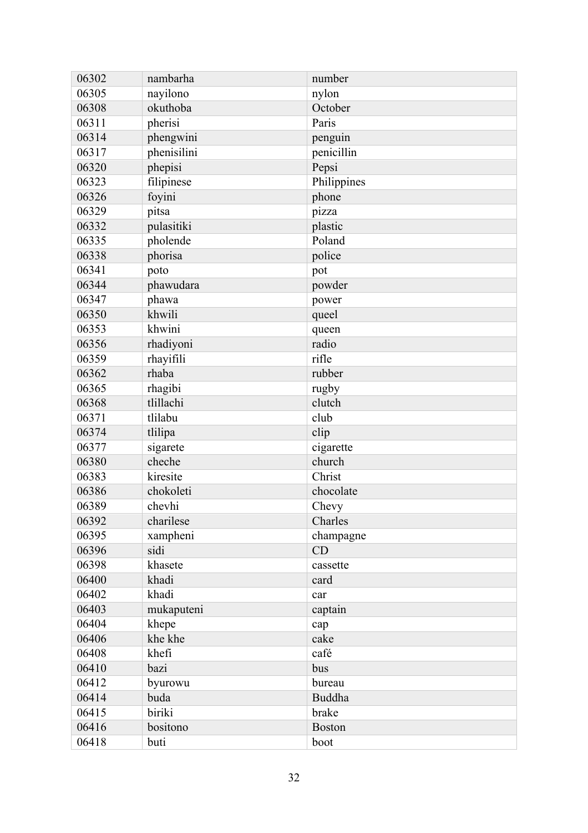| 06305<br>nayilono<br>nylon<br>okuthoba<br>06308<br>October<br>06311<br>pherisi<br>Paris<br>phengwini<br>06314<br>penguin<br>06317<br>phenisilini<br>penicillin<br>phepisi<br>Pepsi<br>06320<br>06323<br>Philippines<br>filipinese<br>foyini<br>06326<br>phone<br>06329<br>pitsa<br>pizza<br>pulasitiki<br>06332<br>plastic<br>Poland<br>06335<br>pholende<br>phorisa<br>police<br>06338<br>06341<br>poto<br>pot<br>06344<br>phawudara<br>powder<br>06347<br>phawa<br>power<br>khwili<br>06350<br>queel<br>06353<br>khwini<br>queen<br>radio<br>06356<br>rhadiyoni<br>rhayifili<br>rifle<br>06359<br>rhaba<br>06362<br>rubber<br>rhagibi<br>06365<br>rugby<br>tlillachi<br>clutch<br>06368<br>06371<br>tlilabu<br>club<br>tlilipa<br>06374<br>clip<br>cigarette<br>06377<br>sigarete<br>church<br>cheche<br>06380<br>kiresite<br>Christ<br>06383<br>06386<br>chokoleti<br>chocolate<br>chevhi<br>06389<br>Chevy<br>06392<br>charilese<br>Charles<br>06395<br>xampheni<br>champagne<br>sidi<br>CD<br>06396<br>khasete<br>06398<br>cassette<br>khadi<br>06400<br>card<br>06402<br>khadi<br>car<br>mukaputeni<br>06403<br>captain<br>06404<br>khepe<br>cap<br>06406<br>khe khe<br>cake<br>khefi<br>06408<br>café<br>06410<br>bazi<br>bus<br>06412<br>byurowu<br>bureau<br>06414<br>buda<br><b>Buddha</b><br>biriki<br>brake<br>06415 | 06302 | nambarha | number        |
|----------------------------------------------------------------------------------------------------------------------------------------------------------------------------------------------------------------------------------------------------------------------------------------------------------------------------------------------------------------------------------------------------------------------------------------------------------------------------------------------------------------------------------------------------------------------------------------------------------------------------------------------------------------------------------------------------------------------------------------------------------------------------------------------------------------------------------------------------------------------------------------------------------------------------------------------------------------------------------------------------------------------------------------------------------------------------------------------------------------------------------------------------------------------------------------------------------------------------------------------------------------------------------------------------------------------------------|-------|----------|---------------|
|                                                                                                                                                                                                                                                                                                                                                                                                                                                                                                                                                                                                                                                                                                                                                                                                                                                                                                                                                                                                                                                                                                                                                                                                                                                                                                                                  |       |          |               |
|                                                                                                                                                                                                                                                                                                                                                                                                                                                                                                                                                                                                                                                                                                                                                                                                                                                                                                                                                                                                                                                                                                                                                                                                                                                                                                                                  |       |          |               |
|                                                                                                                                                                                                                                                                                                                                                                                                                                                                                                                                                                                                                                                                                                                                                                                                                                                                                                                                                                                                                                                                                                                                                                                                                                                                                                                                  |       |          |               |
|                                                                                                                                                                                                                                                                                                                                                                                                                                                                                                                                                                                                                                                                                                                                                                                                                                                                                                                                                                                                                                                                                                                                                                                                                                                                                                                                  |       |          |               |
|                                                                                                                                                                                                                                                                                                                                                                                                                                                                                                                                                                                                                                                                                                                                                                                                                                                                                                                                                                                                                                                                                                                                                                                                                                                                                                                                  |       |          |               |
|                                                                                                                                                                                                                                                                                                                                                                                                                                                                                                                                                                                                                                                                                                                                                                                                                                                                                                                                                                                                                                                                                                                                                                                                                                                                                                                                  |       |          |               |
|                                                                                                                                                                                                                                                                                                                                                                                                                                                                                                                                                                                                                                                                                                                                                                                                                                                                                                                                                                                                                                                                                                                                                                                                                                                                                                                                  |       |          |               |
|                                                                                                                                                                                                                                                                                                                                                                                                                                                                                                                                                                                                                                                                                                                                                                                                                                                                                                                                                                                                                                                                                                                                                                                                                                                                                                                                  |       |          |               |
|                                                                                                                                                                                                                                                                                                                                                                                                                                                                                                                                                                                                                                                                                                                                                                                                                                                                                                                                                                                                                                                                                                                                                                                                                                                                                                                                  |       |          |               |
|                                                                                                                                                                                                                                                                                                                                                                                                                                                                                                                                                                                                                                                                                                                                                                                                                                                                                                                                                                                                                                                                                                                                                                                                                                                                                                                                  |       |          |               |
|                                                                                                                                                                                                                                                                                                                                                                                                                                                                                                                                                                                                                                                                                                                                                                                                                                                                                                                                                                                                                                                                                                                                                                                                                                                                                                                                  |       |          |               |
|                                                                                                                                                                                                                                                                                                                                                                                                                                                                                                                                                                                                                                                                                                                                                                                                                                                                                                                                                                                                                                                                                                                                                                                                                                                                                                                                  |       |          |               |
|                                                                                                                                                                                                                                                                                                                                                                                                                                                                                                                                                                                                                                                                                                                                                                                                                                                                                                                                                                                                                                                                                                                                                                                                                                                                                                                                  |       |          |               |
|                                                                                                                                                                                                                                                                                                                                                                                                                                                                                                                                                                                                                                                                                                                                                                                                                                                                                                                                                                                                                                                                                                                                                                                                                                                                                                                                  |       |          |               |
|                                                                                                                                                                                                                                                                                                                                                                                                                                                                                                                                                                                                                                                                                                                                                                                                                                                                                                                                                                                                                                                                                                                                                                                                                                                                                                                                  |       |          |               |
|                                                                                                                                                                                                                                                                                                                                                                                                                                                                                                                                                                                                                                                                                                                                                                                                                                                                                                                                                                                                                                                                                                                                                                                                                                                                                                                                  |       |          |               |
|                                                                                                                                                                                                                                                                                                                                                                                                                                                                                                                                                                                                                                                                                                                                                                                                                                                                                                                                                                                                                                                                                                                                                                                                                                                                                                                                  |       |          |               |
|                                                                                                                                                                                                                                                                                                                                                                                                                                                                                                                                                                                                                                                                                                                                                                                                                                                                                                                                                                                                                                                                                                                                                                                                                                                                                                                                  |       |          |               |
|                                                                                                                                                                                                                                                                                                                                                                                                                                                                                                                                                                                                                                                                                                                                                                                                                                                                                                                                                                                                                                                                                                                                                                                                                                                                                                                                  |       |          |               |
|                                                                                                                                                                                                                                                                                                                                                                                                                                                                                                                                                                                                                                                                                                                                                                                                                                                                                                                                                                                                                                                                                                                                                                                                                                                                                                                                  |       |          |               |
|                                                                                                                                                                                                                                                                                                                                                                                                                                                                                                                                                                                                                                                                                                                                                                                                                                                                                                                                                                                                                                                                                                                                                                                                                                                                                                                                  |       |          |               |
|                                                                                                                                                                                                                                                                                                                                                                                                                                                                                                                                                                                                                                                                                                                                                                                                                                                                                                                                                                                                                                                                                                                                                                                                                                                                                                                                  |       |          |               |
|                                                                                                                                                                                                                                                                                                                                                                                                                                                                                                                                                                                                                                                                                                                                                                                                                                                                                                                                                                                                                                                                                                                                                                                                                                                                                                                                  |       |          |               |
|                                                                                                                                                                                                                                                                                                                                                                                                                                                                                                                                                                                                                                                                                                                                                                                                                                                                                                                                                                                                                                                                                                                                                                                                                                                                                                                                  |       |          |               |
|                                                                                                                                                                                                                                                                                                                                                                                                                                                                                                                                                                                                                                                                                                                                                                                                                                                                                                                                                                                                                                                                                                                                                                                                                                                                                                                                  |       |          |               |
|                                                                                                                                                                                                                                                                                                                                                                                                                                                                                                                                                                                                                                                                                                                                                                                                                                                                                                                                                                                                                                                                                                                                                                                                                                                                                                                                  |       |          |               |
|                                                                                                                                                                                                                                                                                                                                                                                                                                                                                                                                                                                                                                                                                                                                                                                                                                                                                                                                                                                                                                                                                                                                                                                                                                                                                                                                  |       |          |               |
|                                                                                                                                                                                                                                                                                                                                                                                                                                                                                                                                                                                                                                                                                                                                                                                                                                                                                                                                                                                                                                                                                                                                                                                                                                                                                                                                  |       |          |               |
|                                                                                                                                                                                                                                                                                                                                                                                                                                                                                                                                                                                                                                                                                                                                                                                                                                                                                                                                                                                                                                                                                                                                                                                                                                                                                                                                  |       |          |               |
|                                                                                                                                                                                                                                                                                                                                                                                                                                                                                                                                                                                                                                                                                                                                                                                                                                                                                                                                                                                                                                                                                                                                                                                                                                                                                                                                  |       |          |               |
|                                                                                                                                                                                                                                                                                                                                                                                                                                                                                                                                                                                                                                                                                                                                                                                                                                                                                                                                                                                                                                                                                                                                                                                                                                                                                                                                  |       |          |               |
|                                                                                                                                                                                                                                                                                                                                                                                                                                                                                                                                                                                                                                                                                                                                                                                                                                                                                                                                                                                                                                                                                                                                                                                                                                                                                                                                  |       |          |               |
|                                                                                                                                                                                                                                                                                                                                                                                                                                                                                                                                                                                                                                                                                                                                                                                                                                                                                                                                                                                                                                                                                                                                                                                                                                                                                                                                  |       |          |               |
|                                                                                                                                                                                                                                                                                                                                                                                                                                                                                                                                                                                                                                                                                                                                                                                                                                                                                                                                                                                                                                                                                                                                                                                                                                                                                                                                  |       |          |               |
|                                                                                                                                                                                                                                                                                                                                                                                                                                                                                                                                                                                                                                                                                                                                                                                                                                                                                                                                                                                                                                                                                                                                                                                                                                                                                                                                  |       |          |               |
|                                                                                                                                                                                                                                                                                                                                                                                                                                                                                                                                                                                                                                                                                                                                                                                                                                                                                                                                                                                                                                                                                                                                                                                                                                                                                                                                  |       |          |               |
|                                                                                                                                                                                                                                                                                                                                                                                                                                                                                                                                                                                                                                                                                                                                                                                                                                                                                                                                                                                                                                                                                                                                                                                                                                                                                                                                  |       |          |               |
|                                                                                                                                                                                                                                                                                                                                                                                                                                                                                                                                                                                                                                                                                                                                                                                                                                                                                                                                                                                                                                                                                                                                                                                                                                                                                                                                  |       |          |               |
|                                                                                                                                                                                                                                                                                                                                                                                                                                                                                                                                                                                                                                                                                                                                                                                                                                                                                                                                                                                                                                                                                                                                                                                                                                                                                                                                  |       |          |               |
|                                                                                                                                                                                                                                                                                                                                                                                                                                                                                                                                                                                                                                                                                                                                                                                                                                                                                                                                                                                                                                                                                                                                                                                                                                                                                                                                  |       |          |               |
|                                                                                                                                                                                                                                                                                                                                                                                                                                                                                                                                                                                                                                                                                                                                                                                                                                                                                                                                                                                                                                                                                                                                                                                                                                                                                                                                  |       |          |               |
|                                                                                                                                                                                                                                                                                                                                                                                                                                                                                                                                                                                                                                                                                                                                                                                                                                                                                                                                                                                                                                                                                                                                                                                                                                                                                                                                  |       |          |               |
|                                                                                                                                                                                                                                                                                                                                                                                                                                                                                                                                                                                                                                                                                                                                                                                                                                                                                                                                                                                                                                                                                                                                                                                                                                                                                                                                  |       |          |               |
|                                                                                                                                                                                                                                                                                                                                                                                                                                                                                                                                                                                                                                                                                                                                                                                                                                                                                                                                                                                                                                                                                                                                                                                                                                                                                                                                  | 06416 | bositono | <b>Boston</b> |
| 06418<br>boot<br>buti                                                                                                                                                                                                                                                                                                                                                                                                                                                                                                                                                                                                                                                                                                                                                                                                                                                                                                                                                                                                                                                                                                                                                                                                                                                                                                            |       |          |               |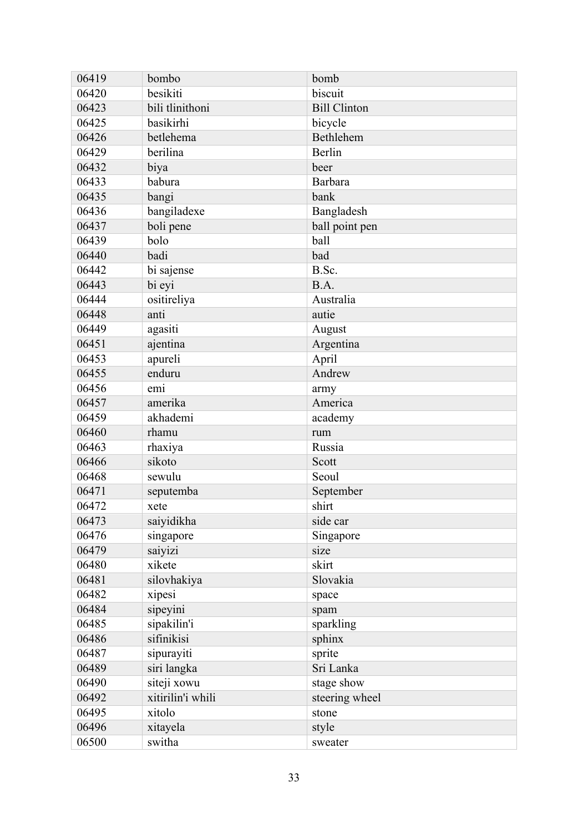| 06419 | bombo             | bomb                |
|-------|-------------------|---------------------|
| 06420 | besikiti          | biscuit             |
| 06423 | bili tlinithoni   | <b>Bill Clinton</b> |
| 06425 | basikirhi         | bicycle             |
| 06426 | betlehema         | Bethlehem           |
| 06429 | berilina          | Berlin              |
| 06432 | biya              | beer                |
| 06433 | babura            | Barbara             |
| 06435 | bangi             | bank                |
| 06436 | bangiladexe       | Bangladesh          |
| 06437 | boli pene         | ball point pen      |
| 06439 | bolo              | ball                |
| 06440 | badi              | bad                 |
| 06442 | bi sajense        | B.Sc.               |
| 06443 | bi eyi            | B.A.                |
| 06444 | ositireliya       | Australia           |
| 06448 | anti              | autie               |
| 06449 | agasiti           | August              |
| 06451 | ajentina          | Argentina           |
| 06453 | apureli           | April               |
| 06455 | enduru            | Andrew              |
| 06456 | emi               | army                |
| 06457 | amerika           | America             |
| 06459 | akhademi          | academy             |
| 06460 | rhamu             | rum                 |
| 06463 | rhaxiya           | Russia              |
| 06466 | sikoto            | Scott               |
| 06468 | sewulu            | Seoul               |
| 06471 | seputemba         | September           |
| 06472 | xete              | shirt               |
| 06473 | saiyidikha        | side car            |
| 06476 | singapore         | Singapore           |
| 06479 | saiyizi           | size                |
| 06480 | xikete            | skirt               |
| 06481 | silovhakiya       | Slovakia            |
| 06482 | xipesi            | space               |
| 06484 | sipeyini          | spam                |
| 06485 | sipakilin'i       | sparkling           |
| 06486 | sifinikisi        | sphinx              |
| 06487 | sipurayiti        | sprite              |
| 06489 | siri langka       | Sri Lanka           |
| 06490 | siteji xowu       | stage show          |
| 06492 | xitirilin'i whili | steering wheel      |
| 06495 | xitolo            | stone               |
| 06496 | xitayela          | style               |
| 06500 | switha            | sweater             |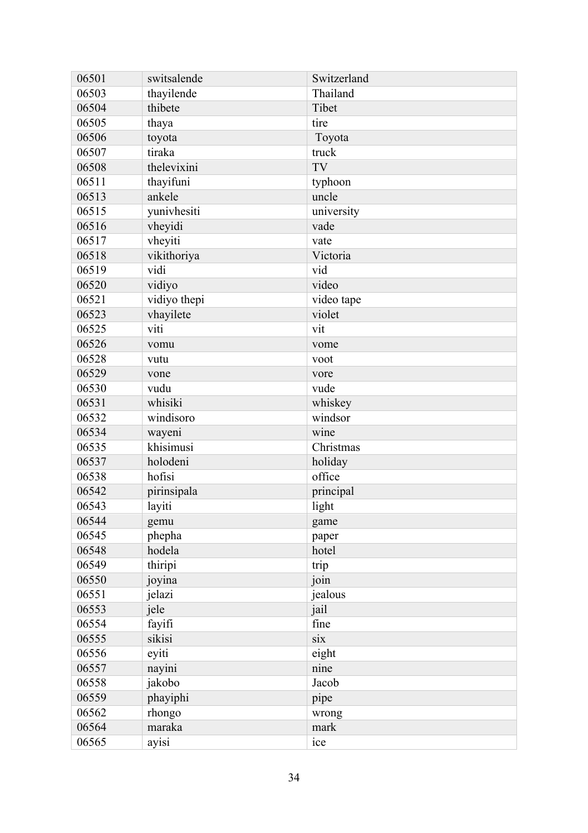| 06501 | switsalende  | Switzerland |
|-------|--------------|-------------|
| 06503 | thayilende   | Thailand    |
| 06504 | thibete      | Tibet       |
| 06505 | thaya        | tire        |
| 06506 | toyota       | Toyota      |
| 06507 | tiraka       | truck       |
| 06508 | thelevixini  | TV          |
| 06511 | thayifuni    | typhoon     |
| 06513 | ankele       | uncle       |
| 06515 | yunivhesiti  | university  |
| 06516 | vheyidi      | vade        |
| 06517 | vheyiti      | vate        |
| 06518 | vikithoriya  | Victoria    |
| 06519 | vidi         | vid         |
| 06520 | vidiyo       | video       |
| 06521 | vidiyo thepi | video tape  |
| 06523 | vhayilete    | violet      |
| 06525 | viti         | vit         |
| 06526 | vomu         | vome        |
| 06528 | vutu         | voot        |
| 06529 | vone         | vore        |
| 06530 | vudu         | vude        |
| 06531 | whisiki      | whiskey     |
| 06532 | windisoro    | windsor     |
| 06534 | wayeni       | wine        |
| 06535 | khisimusi    | Christmas   |
| 06537 | holodeni     | holiday     |
| 06538 | hofisi       | office      |
| 06542 | pirinsipala  | principal   |
| 06543 | layiti       | light       |
| 06544 | gemu         | game        |
| 06545 | phepha       | paper       |
| 06548 | hodela       | hotel       |
| 06549 | thiripi      | trip        |
| 06550 | joyina       | join        |
| 06551 | jelazi       | jealous     |
| 06553 | jele         | jail        |
| 06554 | fayifi       | fine        |
| 06555 | sikisi       | six         |
| 06556 | eyiti        | eight       |
| 06557 | nayini       | nine        |
| 06558 | jakobo       | Jacob       |
| 06559 | phayiphi     | pipe        |
| 06562 | rhongo       | wrong       |
| 06564 | maraka       | mark        |
| 06565 | ayisi        | ice         |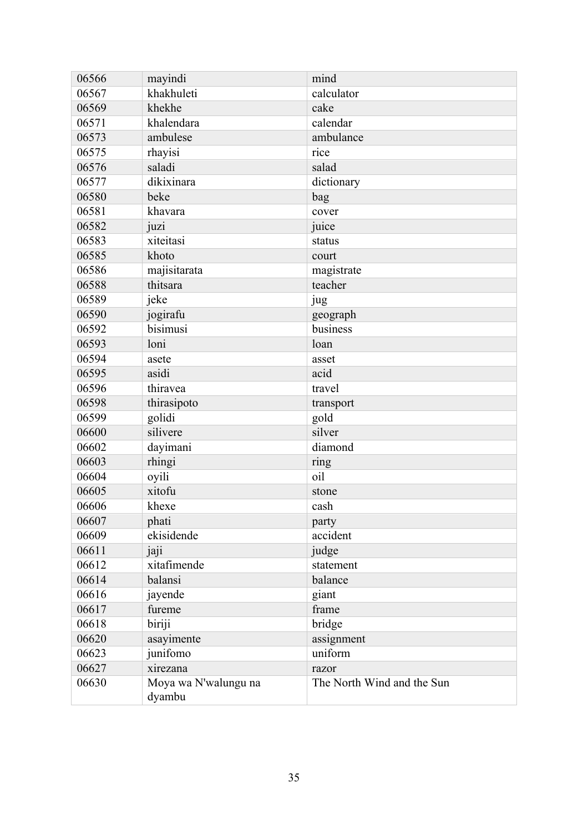| 06566 | mayindi                        | mind                       |
|-------|--------------------------------|----------------------------|
| 06567 | khakhuleti                     | calculator                 |
| 06569 | khekhe                         | cake                       |
| 06571 | khalendara                     | calendar                   |
| 06573 | ambulese                       | ambulance                  |
| 06575 | rhayisi                        | rice                       |
| 06576 | saladi                         | salad                      |
| 06577 | dikixinara                     | dictionary                 |
| 06580 | beke                           | bag                        |
| 06581 | khavara                        | cover                      |
| 06582 | juzi                           | juice                      |
| 06583 | xiteitasi                      | status                     |
| 06585 | khoto                          | court                      |
| 06586 | majisitarata                   | magistrate                 |
| 06588 | thitsara                       | teacher                    |
| 06589 | jeke                           | jug                        |
| 06590 | jogirafu                       | geograph                   |
| 06592 | bisimusi                       | business                   |
| 06593 | loni                           | loan                       |
| 06594 | asete                          | asset                      |
| 06595 | asidi                          | acid                       |
| 06596 | thiravea                       | travel                     |
| 06598 | thirasipoto                    | transport                  |
| 06599 | golidi                         | gold                       |
| 06600 | silivere                       | silver                     |
| 06602 | dayimani                       | diamond                    |
| 06603 | rhingi                         | ring                       |
| 06604 | oyili                          | oil                        |
| 06605 | xitofu                         | stone                      |
| 06606 | khexe                          | cash                       |
| 06607 | phati                          | party                      |
| 06609 | ekisidende                     | accident                   |
| 06611 | jaji                           | judge                      |
| 06612 | xitafimende                    | statement                  |
| 06614 | balansi                        | balance                    |
| 06616 | jayende                        | giant                      |
| 06617 | fureme                         | frame                      |
| 06618 | biriji                         | bridge                     |
| 06620 | asayimente                     | assignment                 |
| 06623 | junifomo                       | uniform                    |
| 06627 | xirezana                       | razor                      |
| 06630 | Moya wa N'walungu na<br>dyambu | The North Wind and the Sun |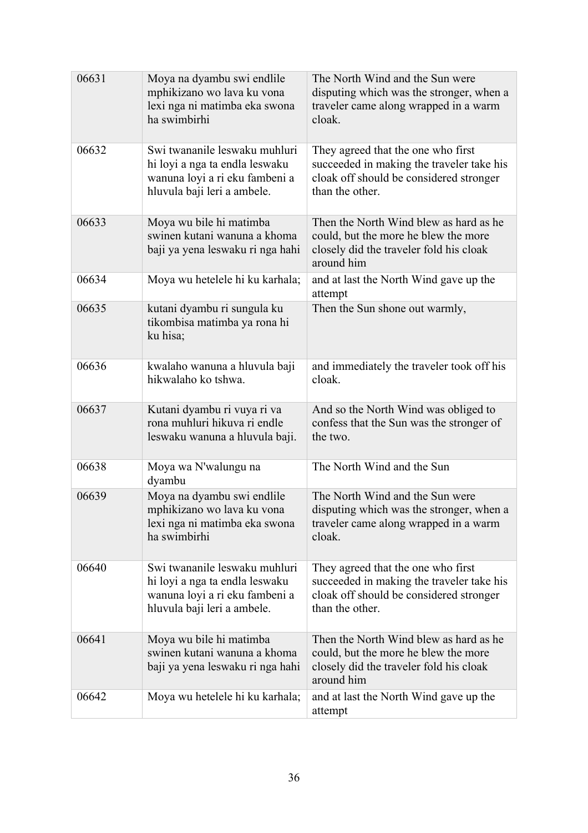| 06631 | Moya na dyambu swi endlile<br>mphikizano wo lava ku vona<br>lexi nga ni matimba eka swona<br>ha swimbirhi                        | The North Wind and the Sun were<br>disputing which was the stronger, when a<br>traveler came along wrapped in a warm<br>cloak.                |
|-------|----------------------------------------------------------------------------------------------------------------------------------|-----------------------------------------------------------------------------------------------------------------------------------------------|
| 06632 | Swi twananile leswaku muhluri<br>hi loyi a nga ta endla leswaku<br>wanuna loyi a ri eku fambeni a<br>hluvula baji leri a ambele. | They agreed that the one who first<br>succeeded in making the traveler take his<br>cloak off should be considered stronger<br>than the other. |
| 06633 | Moya wu bile hi matimba<br>swinen kutani wanuna a khoma<br>baji ya yena leswaku ri nga hahi                                      | Then the North Wind blew as hard as he<br>could, but the more he blew the more<br>closely did the traveler fold his cloak<br>around him       |
| 06634 | Moya wu hetelele hi ku karhala;                                                                                                  | and at last the North Wind gave up the<br>attempt                                                                                             |
| 06635 | kutani dyambu ri sungula ku<br>tikombisa matimba ya rona hi<br>ku hisa;                                                          | Then the Sun shone out warmly,                                                                                                                |
| 06636 | kwalaho wanuna a hluvula baji<br>hikwalaho ko tshwa.                                                                             | and immediately the traveler took off his<br>cloak.                                                                                           |
| 06637 | Kutani dyambu ri vuya ri va<br>rona muhluri hikuva ri endle<br>leswaku wanuna a hluvula baji.                                    | And so the North Wind was obliged to<br>confess that the Sun was the stronger of<br>the two.                                                  |
| 06638 | Moya wa N'walungu na<br>dyambu                                                                                                   | The North Wind and the Sun                                                                                                                    |
| 06639 | Moya na dyambu swi endlile<br>mphikizano wo lava ku vona<br>lexi nga ni matimba eka swona<br>ha swimbirhi                        | The North Wind and the Sun were<br>disputing which was the stronger, when a<br>traveler came along wrapped in a warm<br>cloak.                |
| 06640 | Swi twananile leswaku muhluri<br>hi loyi a nga ta endla leswaku<br>wanuna loyi a ri eku fambeni a<br>hluvula baji leri a ambele. | They agreed that the one who first<br>succeeded in making the traveler take his<br>cloak off should be considered stronger<br>than the other. |
| 06641 | Moya wu bile hi matimba<br>swinen kutani wanuna a khoma<br>baji ya yena leswaku ri nga hahi                                      | Then the North Wind blew as hard as he<br>could, but the more he blew the more<br>closely did the traveler fold his cloak<br>around him       |
| 06642 | Moya wu hetelele hi ku karhala;                                                                                                  | and at last the North Wind gave up the<br>attempt                                                                                             |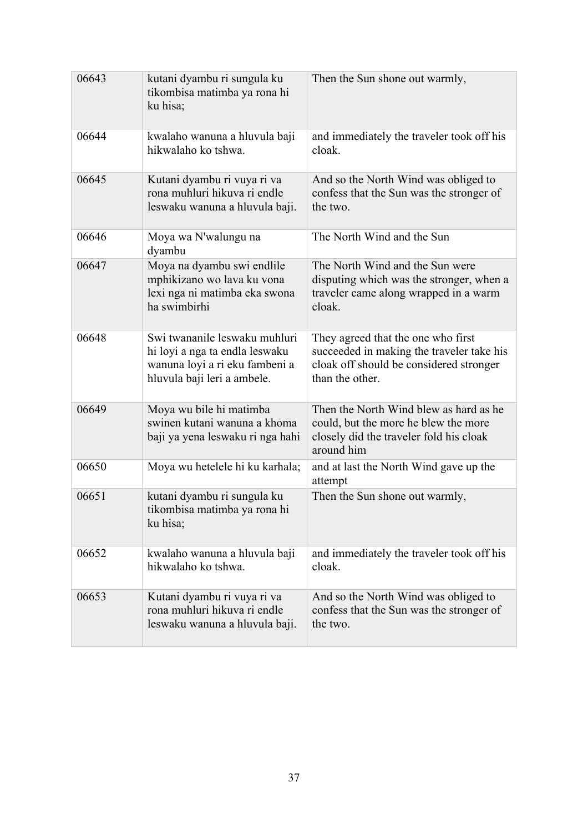| 06643 | kutani dyambu ri sungula ku<br>tikombisa matimba ya rona hi<br>ku hisa;                                                          | Then the Sun shone out warmly,                                                                                                                |
|-------|----------------------------------------------------------------------------------------------------------------------------------|-----------------------------------------------------------------------------------------------------------------------------------------------|
| 06644 | kwalaho wanuna a hluvula baji<br>hikwalaho ko tshwa.                                                                             | and immediately the traveler took off his<br>cloak.                                                                                           |
| 06645 | Kutani dyambu ri vuya ri va<br>rona muhluri hikuva ri endle<br>leswaku wanuna a hluvula baji.                                    | And so the North Wind was obliged to<br>confess that the Sun was the stronger of<br>the two.                                                  |
| 06646 | Moya wa N'walungu na<br>dyambu                                                                                                   | The North Wind and the Sun                                                                                                                    |
| 06647 | Moya na dyambu swi endlile<br>mphikizano wo lava ku vona<br>lexi nga ni matimba eka swona<br>ha swimbirhi                        | The North Wind and the Sun were<br>disputing which was the stronger, when a<br>traveler came along wrapped in a warm<br>cloak.                |
| 06648 | Swi twananile leswaku muhluri<br>hi loyi a nga ta endla leswaku<br>wanuna loyi a ri eku fambeni a<br>hluvula baji leri a ambele. | They agreed that the one who first<br>succeeded in making the traveler take his<br>cloak off should be considered stronger<br>than the other. |
| 06649 | Moya wu bile hi matimba<br>swinen kutani wanuna a khoma<br>baji ya yena leswaku ri nga hahi                                      | Then the North Wind blew as hard as he<br>could, but the more he blew the more<br>closely did the traveler fold his cloak<br>around him       |
| 06650 | Moya wu hetelele hi ku karhala;                                                                                                  | and at last the North Wind gave up the<br>attempt                                                                                             |
| 06651 | kutani dyambu ri sungula ku<br>tikombisa matimba ya rona hi<br>ku hisa;                                                          | Then the Sun shone out warmly,                                                                                                                |
| 06652 | kwalaho wanuna a hluvula baji<br>hikwalaho ko tshwa.                                                                             | and immediately the traveler took off his<br>cloak.                                                                                           |
| 06653 | Kutani dyambu ri vuya ri va<br>rona muhluri hikuva ri endle<br>leswaku wanuna a hluvula baji.                                    | And so the North Wind was obliged to<br>confess that the Sun was the stronger of<br>the two.                                                  |